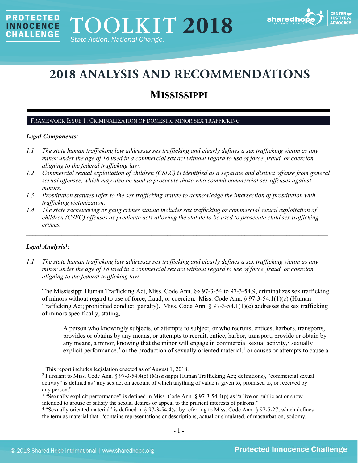

# **2018 ANALYSIS AND RECOMMENDATIONS**

# **MISSISSIPPI**

#### FRAMEWORK ISSUE 1: CRIMINALIZATION OF DOMESTIC MINOR SEX TRAFFICKING

#### *Legal Components:*

**PROTECTED** 

**INNOCENCE CHALLENGE** 

- *1.1 The state human trafficking law addresses sex trafficking and clearly defines a sex trafficking victim as any minor under the age of 18 used in a commercial sex act without regard to use of force, fraud, or coercion, aligning to the federal trafficking law.*
- *1.2 Commercial sexual exploitation of children (CSEC) is identified as a separate and distinct offense from general sexual offenses, which may also be used to prosecute those who commit commercial sex offenses against minors.*
- *1.3 Prostitution statutes refer to the sex trafficking statute to acknowledge the intersection of prostitution with trafficking victimization.*
- *1.4 The state racketeering or gang crimes statute includes sex trafficking or commercial sexual exploitation of children (CSEC) offenses as predicate acts allowing the statute to be used to prosecute child sex trafficking crimes.*

 $\mathcal{L}_\mathcal{L} = \mathcal{L}_\mathcal{L} = \mathcal{L}_\mathcal{L} = \mathcal{L}_\mathcal{L} = \mathcal{L}_\mathcal{L} = \mathcal{L}_\mathcal{L} = \mathcal{L}_\mathcal{L} = \mathcal{L}_\mathcal{L} = \mathcal{L}_\mathcal{L} = \mathcal{L}_\mathcal{L} = \mathcal{L}_\mathcal{L} = \mathcal{L}_\mathcal{L} = \mathcal{L}_\mathcal{L} = \mathcal{L}_\mathcal{L} = \mathcal{L}_\mathcal{L} = \mathcal{L}_\mathcal{L} = \mathcal{L}_\mathcal{L}$ 

# *Legal Analysis*[1](#page-0-0) *:*

*1.1 The state human trafficking law addresses sex trafficking and clearly defines a sex trafficking victim as any minor under the age of 18 used in a commercial sex act without regard to use of force, fraud, or coercion, aligning to the federal trafficking law.*

The Mississippi Human Trafficking Act, Miss. Code Ann. §§ 97-3-54 to 97-3-54.9, criminalizes sex trafficking of minors without regard to use of force, fraud, or coercion. Miss. Code Ann. § 97-3-54.1(1)(c) (Human Trafficking Act; prohibited conduct; penalty). Miss. Code Ann. § 97-3-54.1(1)(c) addresses the sex trafficking of minors specifically, stating,

A person who knowingly subjects, or attempts to subject, or who recruits, entices, harbors, transports, provides or obtains by any means, or attempts to recruit, entice, harbor, transport, provide or obtain by any means, a minor, knowing that the minor will engage in commercial sexual activity, $\frac{2}{3}$  $\frac{2}{3}$  $\frac{2}{3}$  sexually explicit performance,<sup>[3](#page-0-2)</sup> or the production of sexually oriented material,<sup>[4](#page-0-3)</sup> or causes or attempts to cause a

<sup>&</sup>lt;sup>1</sup> This report includes legislation enacted as of August 1, 2018.

<span id="page-0-1"></span><span id="page-0-0"></span><sup>2</sup> Pursuant to Miss. Code Ann. § 97-3-54.4(e) (Mississippi Human Trafficking Act; definitions), "commercial sexual activity" is defined as "any sex act on account of which anything of value is given to, promised to, or received by any person."

<span id="page-0-2"></span><sup>&</sup>lt;sup>3</sup> "Sexually-explicit performance" is defined in Miss. Code Ann. § 97-3-54.4(p) as "a live or public act or show intended to arouse or satisfy the sexual desires or appeal to the prurient interests of patrons."

<span id="page-0-3"></span><sup>&</sup>lt;sup>4</sup> "Sexually oriented material" is defined in § 97-3-54.4(s) by referring to Miss. Code Ann. § 97-5-27, which defines the term as material that "contains representations or descriptions, actual or simulated, of masturbation, sodomy,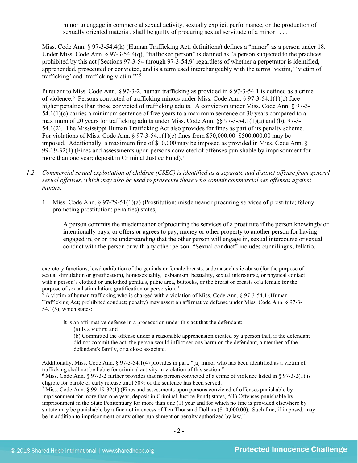minor to engage in commercial sexual activity, sexually explicit performance, or the production of sexually oriented material, shall be guilty of procuring sexual servitude of a minor . . . .

Miss. Code Ann. § 97-3-54.4(k) (Human Trafficking Act; definitions) defines a "minor" as a person under 18. Under Miss. Code Ann.  $\S 97-3-54.4(q)$ , "trafficked person" is defined as "a person subjected to the practices prohibited by this act [Sections 97-3-54 through 97-3-54.9] regardless of whether a perpetrator is identified, apprehended, prosecuted or convicted, and is a term used interchangeably with the terms 'victim,' 'victim of trafficking' and 'trafficking victim.'" [5](#page-1-0)

Pursuant to Miss. Code Ann. § 97-3-2, human trafficking as provided in § 97-3-54.1 is defined as a crime of violence.<sup>6</sup> Persons convicted of trafficking minors under Miss. Code Ann. § 97-3-54.1(1)(c) face higher penalties than those convicted of trafficking adults. A conviction under Miss. Code Ann. § 97-3- $54.1(1)(c)$  carries a minimum sentence of five years to a maximum sentence of 30 years compared to a maximum of 20 years for trafficking adults under Miss. Code Ann. §§ 97-3-54.1(1)(a) and (b), 97-3- 54.1(2). The Mississippi Human Trafficking Act also provides for fines as part of its penalty scheme. For violations of Miss. Code Ann. § 97-3-54.1(1)(c) fines from \$50,000.00–\$500,000.00 may be imposed. Additionally, a maximum fine of \$10,000 may be imposed as provided in Miss. Code Ann. § 99-19-32(1) (Fines and assessments upon persons convicted of offenses punishable by imprisonment for more than one year; deposit in Criminal Justice Fund).<sup>[7](#page-1-2)</sup>

- *1.2 Commercial sexual exploitation of children (CSEC) is identified as a separate and distinct offense from general sexual offenses, which may also be used to prosecute those who commit commercial sex offenses against minors.*
	- 1. Miss. Code Ann. § 97-29-51(1)(a) (Prostitution; misdemeanor procuring services of prostitute; felony promoting prostitution; penalties) states,

A person commits the misdemeanor of procuring the services of a prostitute if the person knowingly or intentionally pays, or offers or agrees to pay, money or other property to another person for having engaged in, or on the understanding that the other person will engage in, sexual intercourse or sexual conduct with the person or with any other person. "Sexual conduct" includes cunnilingus, fellatio,

excretory functions, lewd exhibition of the genitals or female breasts, sadomasochistic abuse (for the purpose of sexual stimulation or gratification), homosexuality, lesbianism, bestiality, sexual intercourse, or physical contact with a person's clothed or unclothed genitals, pubic area, buttocks, or the breast or breasts of a female for the purpose of sexual stimulation, gratification or perversion."

<span id="page-1-0"></span><sup>5</sup> A victim of human trafficking who is charged with a violation of Miss. Code Ann. § 97-3-54.1 (Human Trafficking Act; prohibited conduct; penalty) may assert an affirmative defense under Miss. Code Ann. § 97-3- 54.1(5), which states:

It is an affirmative defense in a prosecution under this act that the defendant:

(a) Is a victim; and

 $\ddot{\phantom{a}}$ 

(b) Committed the offense under a reasonable apprehension created by a person that, if the defendant did not commit the act, the person would inflict serious harm on the defendant, a member of the defendant's family, or a close associate.

Additionally, Miss. Code Ann. § 97-3-54.1(4) provides in part, "[a] minor who has been identified as a victim of trafficking shall not be liable for criminal activity in violation of this section."

<span id="page-1-1"></span><sup>6</sup> Miss. Code Ann. § 97-3-2 further provides that no person convicted of a crime of violence listed in § 97-3-2(1) is eligible for parole or early release until 50% of the sentence has been served.

<span id="page-1-2"></span><sup>7</sup> Miss. Code Ann. § 99-19-32(1) (Fines and assessments upon persons convicted of offenses punishable by imprisonment for more than one year; deposit in Criminal Justice Fund) states, "(1) Offenses punishable by imprisonment in the State Penitentiary for more than one (1) year and for which no fine is provided elsewhere by statute may be punishable by a fine not in excess of Ten Thousand Dollars (\$10,000.00). Such fine, if imposed, may be in addition to imprisonment or any other punishment or penalty authorized by law."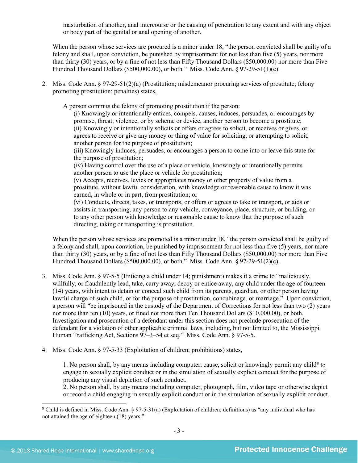masturbation of another, anal intercourse or the causing of penetration to any extent and with any object or body part of the genital or anal opening of another.

When the person whose services are procured is a minor under 18, "the person convicted shall be guilty of a felony and shall, upon conviction, be punished by imprisonment for not less than five (5) years, nor more than thirty (30) years, or by a fine of not less than Fifty Thousand Dollars (\$50,000.00) nor more than Five Hundred Thousand Dollars (\$500,000.00), or both." Miss. Code Ann. § 97-29-51(1)(c).

2. Miss. Code Ann. § 97-29-51(2)(a) (Prostitution; misdemeanor procuring services of prostitute; felony promoting prostitution; penalties) states,

A person commits the felony of promoting prostitution if the person:

(i) Knowingly or intentionally entices, compels, causes, induces, persuades, or encourages by promise, threat, violence, or by scheme or device, another person to become a prostitute; (ii) Knowingly or intentionally solicits or offers or agrees to solicit, or receives or gives, or agrees to receive or give any money or thing of value for soliciting, or attempting to solicit, another person for the purpose of prostitution;

(iii) Knowingly induces, persuades, or encourages a person to come into or leave this state for the purpose of prostitution;

(iv) Having control over the use of a place or vehicle, knowingly or intentionally permits another person to use the place or vehicle for prostitution;

(v) Accepts, receives, levies or appropriates money or other property of value from a prostitute, without lawful consideration, with knowledge or reasonable cause to know it was earned, in whole or in part, from prostitution; or

(vi) Conducts, directs, takes, or transports, or offers or agrees to take or transport, or aids or assists in transporting, any person to any vehicle, conveyance, place, structure, or building, or to any other person with knowledge or reasonable cause to know that the purpose of such directing, taking or transporting is prostitution.

When the person whose services are promoted is a minor under 18, "the person convicted shall be guilty of a felony and shall, upon conviction, be punished by imprisonment for not less than five (5) years, nor more than thirty (30) years, or by a fine of not less than Fifty Thousand Dollars (\$50,000.00) nor more than Five Hundred Thousand Dollars (\$500,000.00), or both." Miss. Code Ann. § 97-29-51(2)(c).

- 3. Miss. Code Ann. § 97-5-5 (Enticing a child under 14; punishment) makes it a crime to "maliciously, willfully, or fraudulently lead, take, carry away, decoy or entice away, any child under the age of fourteen (14) years, with intent to detain or conceal such child from its parents, guardian, or other person having lawful charge of such child, or for the purpose of prostitution, concubinage, or marriage." Upon conviction, a person will "be imprisoned in the custody of the Department of Corrections for not less than two (2) years nor more than ten (10) years, or fined not more than Ten Thousand Dollars (\$10,000.00), or both. Investigation and prosecution of a defendant under this section does not preclude prosecution of the defendant for a violation of other applicable criminal laws, including, but not limited to, the Mississippi Human Trafficking Act, Sections 97–3–54 et seq." Miss. Code Ann. § 97-5-5.
- 4. Miss. Code Ann. § 97-5-33 (Exploitation of children; prohibitions) states,

1. No person shall, by any means including computer, cause, solicit or knowingly permit any child<sup>[8](#page-2-0)</sup> to engage in sexually explicit conduct or in the simulation of sexually explicit conduct for the purpose of producing any visual depiction of such conduct.

2. No person shall, by any means including computer, photograph, film, video tape or otherwise depict or record a child engaging in sexually explicit conduct or in the simulation of sexually explicit conduct.

<span id="page-2-0"></span> <sup>8</sup> Child is defined in Miss. Code Ann. § 97-5-31(a) (Exploitation of children; definitions) as "any individual who has not attained the age of eighteen (18) years."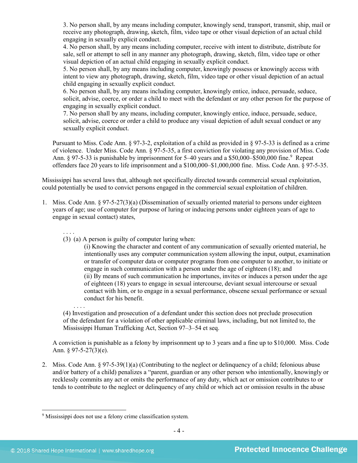3. No person shall, by any means including computer, knowingly send, transport, transmit, ship, mail or receive any photograph, drawing, sketch, film, video tape or other visual depiction of an actual child engaging in sexually explicit conduct.

4. No person shall, by any means including computer, receive with intent to distribute, distribute for sale, sell or attempt to sell in any manner any photograph, drawing, sketch, film, video tape or other visual depiction of an actual child engaging in sexually explicit conduct.

5. No person shall, by any means including computer, knowingly possess or knowingly access with intent to view any photograph, drawing, sketch, film, video tape or other visual depiction of an actual child engaging in sexually explicit conduct.

6. No person shall, by any means including computer, knowingly entice, induce, persuade, seduce, solicit, advise, coerce, or order a child to meet with the defendant or any other person for the purpose of engaging in sexually explicit conduct.

7. No person shall by any means, including computer, knowingly entice, induce, persuade, seduce, solicit, advise, coerce or order a child to produce any visual depiction of adult sexual conduct or any sexually explicit conduct.

Pursuant to Miss. Code Ann. § 97-3-2, exploitation of a child as provided in § 97-5-33 is defined as a crime of violence. Under Miss. Code Ann. § 97-5-35, a first conviction for violating any provision of Miss. Code Ann. § [9](#page-3-0)7-5-33 is punishable by imprisonment for 5–40 years and a \$50,000–\$500,000 fine.<sup>9</sup> Repeat offenders face 20 years to life imprisonment and a \$100,000–\$1,000,000 fine. Miss. Code Ann. § 97-5-35.

Mississippi has several laws that, although not specifically directed towards commercial sexual exploitation, could potentially be used to convict persons engaged in the commercial sexual exploitation of children.

- 1. Miss. Code Ann. § 97-5-27(3)(a) (Dissemination of sexually oriented material to persons under eighteen years of age; use of computer for purpose of luring or inducing persons under eighteen years of age to engage in sexual contact) states,
	- . . . . (3) (a) A person is guilty of computer luring when:

(i) Knowing the character and content of any communication of sexually oriented material, he intentionally uses any computer communication system allowing the input, output, examination or transfer of computer data or computer programs from one computer to another, to initiate or engage in such communication with a person under the age of eighteen (18); and (ii) By means of such communication he importunes, invites or induces a person under the age of eighteen (18) years to engage in sexual intercourse, deviant sexual intercourse or sexual contact with him, or to engage in a sexual performance, obscene sexual performance or sexual conduct for his benefit.

(4) Investigation and prosecution of a defendant under this section does not preclude prosecution of the defendant for a violation of other applicable criminal laws, including, but not limited to, the Mississippi Human Trafficking Act, Section 97–3–54 et seq.

A conviction is punishable as a felony by imprisonment up to 3 years and a fine up to \$10,000. Miss. Code Ann. § 97-5-27(3)(e).

2. Miss. Code Ann. § 97-5-39(1)(a) (Contributing to the neglect or delinquency of a child; felonious abuse and/or battery of a child) penalizes a "parent, guardian or any other person who intentionally, knowingly or recklessly commits any act or omits the performance of any duty, which act or omission contributes to or tends to contribute to the neglect or delinquency of any child or which act or omission results in the abuse

. . . .

<span id="page-3-0"></span> <sup>9</sup> Mississippi does not use a felony crime classification system*.*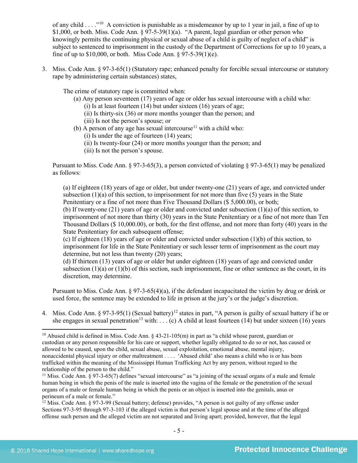of any child . . . ."[10](#page-4-0) A conviction is punishable as a misdemeanor by up to 1 year in jail, a fine of up to \$1,000, or both. Miss. Code Ann.  $\S 97-5-39(1)(a)$ . "A parent, legal guardian or other person who knowingly permits the continuing physical or sexual abuse of a child is guilty of neglect of a child" is subject to sentenced to imprisonment in the custody of the Department of Corrections for up to 10 years, a fine of up to  $$10,000$ , or both. Miss Code Ann.  $$97-5-39(1)(e)$ .

3. Miss. Code Ann. § 97-3-65(1) (Statutory rape; enhanced penalty for forcible sexual intercourse or statutory rape by administering certain substances) states,

The crime of statutory rape is committed when:

(a) Any person seventeen (17) years of age or older has sexual intercourse with a child who:

(i) Is at least fourteen (14) but under sixteen (16) years of age;

- (ii) Is thirty-six (36) or more months younger than the person; and
- (iii) Is not the person's spouse; or
- (b) A person of any age has sexual intercourse<sup>[11](#page-4-1)</sup> with a child who:
	- (i) Is under the age of fourteen (14) years;
	- (ii) Is twenty-four (24) or more months younger than the person; and
	- (iii) Is not the person's spouse.

Pursuant to Miss. Code Ann. § 97-3-65(3), a person convicted of violating § 97-3-65(1) may be penalized as follows:

(a) If eighteen (18) years of age or older, but under twenty-one (21) years of age, and convicted under subsection  $(1)(a)$  of this section, to imprisonment for not more than five (5) years in the State Penitentiary or a fine of not more than Five Thousand Dollars (\$ 5,000.00), or both;

(b) If twenty-one (21) years of age or older and convicted under subsection (1)(a) of this section, to imprisonment of not more than thirty (30) years in the State Penitentiary or a fine of not more than Ten Thousand Dollars (\$ 10,000.00), or both, for the first offense, and not more than forty (40) years in the State Penitentiary for each subsequent offense;

(c) If eighteen (18) years of age or older and convicted under subsection (1)(b) of this section, to imprisonment for life in the State Penitentiary or such lesser term of imprisonment as the court may determine, but not less than twenty (20) years;

(d) If thirteen (13) years of age or older but under eighteen (18) years of age and convicted under subsection  $(1)(a)$  or  $(1)(b)$  of this section, such imprisonment, fine or other sentence as the court, in its discretion, may determine.

Pursuant to Miss. Code Ann. § 97-3-65(4)(a), if the defendant incapacitated the victim by drug or drink or used force, the sentence may be extended to life in prison at the jury's or the judge's discretion.

4. Miss. Code Ann. § 97-3-95(1) (Sexual battery)<sup>[12](#page-4-2)</sup> states in part, "A person is guilty of sexual battery if he or she engages in sexual penetration<sup>[13](#page-4-3)</sup> with: . . . (c) A child at least fourteen (14) but under sixteen (16) years

<span id="page-4-3"></span><span id="page-4-0"></span><sup>&</sup>lt;sup>10</sup> Abused child is defined in Miss. Code Ann.  $\S$  43-21-105(m) in part as "a child whose parent, guardian or custodian or any person responsible for his care or support, whether legally obligated to do so or not, has caused or allowed to be caused, upon the child, sexual abuse, sexual exploitation, emotional abuse, mental injury, nonaccidental physical injury or other maltreatment . . . . 'Abused child' also means a child who is or has been trafficked within the meaning of the Mississippi Human Trafficking Act by any person, without regard to the relationship of the person to the child."

<span id="page-4-1"></span><sup>&</sup>lt;sup>11</sup> Miss. Code Ann. § 97-3-65(7) defines "sexual intercourse" as "a joining of the sexual organs of a male and female human being in which the penis of the male is inserted into the vagina of the female or the penetration of the sexual organs of a male or female human being in which the penis or an object is inserted into the genitals, anus or perineum of a male or female."

<span id="page-4-2"></span><sup>&</sup>lt;sup>12</sup> Miss. Code Ann. § 97-3-99 (Sexual battery; defense) provides, "A person is not guilty of any offense under Sections 97-3-95 through 97-3-103 if the alleged victim is that person's legal spouse and at the time of the alleged offense such person and the alleged victim are not separated and living apart; provided, however, that the legal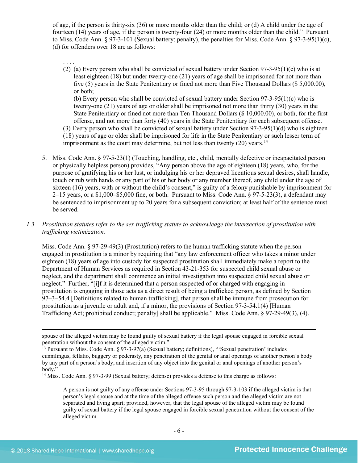of age, if the person is thirty-six (36) or more months older than the child; or (d) A child under the age of fourteen (14) years of age, if the person is twenty-four (24) or more months older than the child." Pursuant to Miss. Code Ann.  $\S 97-3-101$  (Sexual battery; penalty), the penalties for Miss. Code Ann.  $\S 97-3-95(1)(c)$ , (d) for offenders over 18 are as follows:

. . . . (2) (a) Every person who shall be convicted of sexual battery under Section  $97-3-95(1)(c)$  who is at least eighteen (18) but under twenty-one (21) years of age shall be imprisoned for not more than five (5) years in the State Penitentiary or fined not more than Five Thousand Dollars (\$ 5,000.00), or both; (b) Every person who shall be convicted of sexual battery under Section 97-3-95(1)(c) who is twenty-one (21) years of age or older shall be imprisoned not more than thirty (30) years in the State Penitentiary or fined not more than Ten Thousand Dollars (\$ 10,000.00), or both, for the first offense, and not more than forty (40) years in the State Penitentiary for each subsequent offense.

(3) Every person who shall be convicted of sexual battery under Section 97-3-95(1)(d) who is eighteen (18) years of age or older shall be imprisoned for life in the State Penitentiary or such lesser term of imprisonment as the court may determine, but not less than twenty  $(20)$  years.<sup>[14](#page-5-0)</sup>

5. Miss. Code Ann. § 97-5-23(1) (Touching, handling, etc., child, mentally defective or incapacitated person or physically helpless person) provides, "Any person above the age of eighteen (18) years, who, for the purpose of gratifying his or her lust, or indulging his or her depraved licentious sexual desires, shall handle, touch or rub with hands or any part of his or her body or any member thereof, any child under the age of sixteen (16) years, with or without the child's consent," is guilty of a felony punishable by imprisonment for  $2-15$  years, or a \$1,000–\$5,000 fine, or both. Pursuant to Miss. Code Ann. § 97-5-23(3), a defendant may be sentenced to imprisonment up to 20 years for a subsequent conviction; at least half of the sentence must be served.

# *1.3 Prostitution statutes refer to the sex trafficking statute to acknowledge the intersection of prostitution with trafficking victimization.*

Miss. Code Ann. § 97-29-49(3) (Prostitution) refers to the human trafficking statute when the person engaged in prostitution is a minor by requiring that "any law enforcement officer who takes a minor under eighteen (18) years of age into custody for suspected prostitution shall immediately make a report to the Department of Human Services as required in Section 43-21-353 for suspected child sexual abuse or neglect, and the department shall commence an initial investigation into suspected child sexual abuse or neglect." Further, "[i]f it is determined that a person suspected of or charged with engaging in prostitution is engaging in those acts as a direct result of being a trafficked person, as defined by Section 97–3–54.4 [Definitions related to human trafficking], that person shall be immune from prosecution for prostitution as a juvenile or adult and, if a minor, the provisions of Section 97-3-54.1(4) [Human Trafficking Act; prohibited conduct; penalty] shall be applicable." Miss. Code Ann. § 97-29-49(3), (4).

<span id="page-5-0"></span><sup>14</sup> Miss. Code Ann. § 97-3-99 (Sexual battery; defense) provides a defense to this charge as follows:

A person is not guilty of any offense under Sections 97-3-95 through 97-3-103 if the alleged victim is that person's legal spouse and at the time of the alleged offense such person and the alleged victim are not separated and living apart; provided, however, that the legal spouse of the alleged victim may be found guilty of sexual battery if the legal spouse engaged in forcible sexual penetration without the consent of the alleged victim.

 $\overline{a}$ spouse of the alleged victim may be found guilty of sexual battery if the legal spouse engaged in forcible sexual penetration without the consent of the alleged victim."

<sup>&</sup>lt;sup>13</sup> Pursuant to Miss. Code Ann. § 97-3-97(a) (Sexual battery; definitions), "Sexual penetration' includes cunnilingus, fellatio, buggery or pederasty, any penetration of the genital or anal openings of another person's body by any part of a person's body, and insertion of any object into the genital or anal openings of another person's body."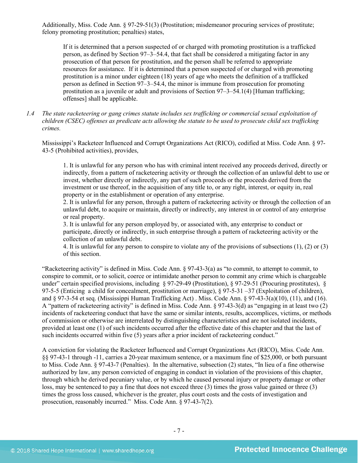Additionally, Miss. Code Ann. § 97-29-51(3) (Prostitution; misdemeanor procuring services of prostitute; felony promoting prostitution; penalties) states,

If it is determined that a person suspected of or charged with promoting prostitution is a trafficked person, as defined by Section 97–3–54.4, that fact shall be considered a mitigating factor in any prosecution of that person for prostitution, and the person shall be referred to appropriate resources for assistance. If it is determined that a person suspected of or charged with promoting prostitution is a minor under eighteen (18) years of age who meets the definition of a trafficked person as defined in Section 97–3–54.4, the minor is immune from prosecution for promoting prostitution as a juvenile or adult and provisions of Section 97–3–54.1(4) [Human trafficking; offenses] shall be applicable.

*1.4 The state racketeering or gang crimes statute includes sex trafficking or commercial sexual exploitation of children (CSEC) offenses as predicate acts allowing the statute to be used to prosecute child sex trafficking crimes.* 

Mississippi's Racketeer Influenced and Corrupt Organizations Act (RICO), codified at Miss. Code Ann. § 97- 43-5 (Prohibited activities), provides,

1. It is unlawful for any person who has with criminal intent received any proceeds derived, directly or indirectly, from a pattern of racketeering activity or through the collection of an unlawful debt to use or invest, whether directly or indirectly, any part of such proceeds or the proceeds derived from the investment or use thereof, in the acquisition of any title to, or any right, interest, or equity in, real property or in the establishment or operation of any enterprise.

2. It is unlawful for any person, through a pattern of racketeering activity or through the collection of an unlawful debt, to acquire or maintain, directly or indirectly, any interest in or control of any enterprise or real property.

3. It is unlawful for any person employed by, or associated with, any enterprise to conduct or participate, directly or indirectly, in such enterprise through a pattern of racketeering activity or the collection of an unlawful debt.

4. It is unlawful for any person to conspire to violate any of the provisions of subsections (1), (2) or (3) of this section.

"Racketeering activity" is defined in Miss. Code Ann. § 97-43-3(a) as "to commit, to attempt to commit, to conspire to commit, or to solicit, coerce or intimidate another person to commit any crime which is chargeable under" certain specified provisions, including  $\frac{6}{97-29-49}$  (Prostitution),  $\frac{6}{97-29-51}$  (Procuring prostitutes),  $\frac{6}{97-29}$ 97-5-5 (Enticing a child for concealment, prostitution or marriage), § 97-5-31 –37 (Exploitation of children), and § 97-3-54 et seq. (Mississippi Human Trafficking Act) . Miss. Code Ann. § 97-43-3(a)(10), (11), and (16). A "pattern of racketeering activity" is defined in Miss. Code Ann. § 97-43-3(d) as "engaging in at least two (2) incidents of racketeering conduct that have the same or similar intents, results, accomplices, victims, or methods of commission or otherwise are interrelated by distinguishing characteristics and are not isolated incidents, provided at least one (1) of such incidents occurred after the effective date of this chapter and that the last of such incidents occurred within five (5) years after a prior incident of racketeering conduct."

A conviction for violating the Racketeer Influenced and Corrupt Organizations Act (RICO), Miss. Code Ann. §§ 97-43-1 through -11, carries a 20-year maximum sentence, or a maximum fine of \$25,000, or both pursuant to Miss. Code Ann. § 97-43-7 (Penalties). In the alternative, subsection (2) states, "In lieu of a fine otherwise authorized by law, any person convicted of engaging in conduct in violation of the provisions of this chapter, through which he derived pecuniary value, or by which he caused personal injury or property damage or other loss, may be sentenced to pay a fine that does not exceed three (3) times the gross value gained or three (3) times the gross loss caused, whichever is the greater, plus court costs and the costs of investigation and prosecution, reasonably incurred." Miss. Code Ann. § 97-43-7(2).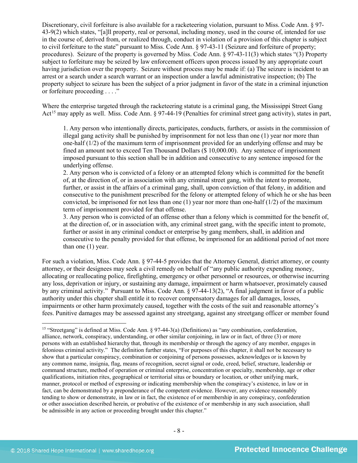Discretionary, civil forfeiture is also available for a racketeering violation, pursuant to Miss. Code Ann. § 97- 43-9(2) which states, "[a]ll property, real or personal, including money, used in the course of, intended for use in the course of, derived from, or realized through, conduct in violation of a provision of this chapter is subject to civil forfeiture to the state" pursuant to Miss. Code Ann. § 97-43-11 (Seizure and forfeiture of property; procedures). Seizure of the property is governed by Miss. Code Ann. § 97-43-11(3) which states "(3) Property subject to forfeiture may be seized by law enforcement officers upon process issued by any appropriate court having jurisdiction over the property. Seizure without process may be made if: (a) The seizure is incident to an arrest or a search under a search warrant or an inspection under a lawful administrative inspection; (b) The property subject to seizure has been the subject of a prior judgment in favor of the state in a criminal injunction or forfeiture proceeding . . . ."

Where the enterprise targeted through the racketeering statute is a criminal gang, the Mississippi Street Gang Act<sup>[15](#page-7-0)</sup> may apply as well. Miss. Code Ann. § 97-44-19 (Penalties for criminal street gang activity), states in part,

1. Any person who intentionally directs, participates, conducts, furthers, or assists in the commission of illegal gang activity shall be punished by imprisonment for not less than one (1) year nor more than one-half (1/2) of the maximum term of imprisonment provided for an underlying offense and may be fined an amount not to exceed Ten Thousand Dollars (\$ 10,000.00). Any sentence of imprisonment imposed pursuant to this section shall be in addition and consecutive to any sentence imposed for the underlying offense.

2. Any person who is convicted of a felony or an attempted felony which is committed for the benefit of, at the direction of, or in association with any criminal street gang, with the intent to promote, further, or assist in the affairs of a criminal gang, shall, upon conviction of that felony, in addition and consecutive to the punishment prescribed for the felony or attempted felony of which he or she has been convicted, be imprisoned for not less than one  $(1)$  year nor more than one-half  $(1/2)$  of the maximum term of imprisonment provided for that offense.

3. Any person who is convicted of an offense other than a felony which is committed for the benefit of, at the direction of, or in association with, any criminal street gang, with the specific intent to promote, further or assist in any criminal conduct or enterprise by gang members, shall, in addition and consecutive to the penalty provided for that offense, be imprisoned for an additional period of not more than one (1) year.

For such a violation, Miss. Code Ann. § 97-44-5 provides that the Attorney General, district attorney, or county attorney, or their designees may seek a civil remedy on behalf of "any public authority expending money, allocating or reallocating police, firefighting, emergency or other personnel or resources, or otherwise incurring any loss, deprivation or injury, or sustaining any damage, impairment or harm whatsoever, proximately caused by any criminal activity." Pursuant to Miss. Code Ann. § 97-44-13(2), "A final judgment in favor of a public authority under this chapter shall entitle it to recover compensatory damages for all damages, losses, impairments or other harm proximately caused, together with the costs of the suit and reasonable attorney's fees. Punitive damages may be assessed against any streetgang, against any streetgang officer or member found

<span id="page-7-0"></span> <sup>15</sup> "Streetgang" is defined at Miss. Code Ann. § 97-44-3(a) (Definitions) as "any combination, confederation, alliance, network, conspiracy, understanding, or other similar conjoining, in law or in fact, of three (3) or more persons with an established hierarchy that, through its membership or through the agency of any member, engages in felonious criminal activity." The definition further states, "For purposes of this chapter, it shall not be necessary to show that a particular conspiracy, combination or conjoining of persons possesses, acknowledges or is known by any common name, insignia, flag, means of recognition, secret signal or code, creed, belief, structure, leadership or command structure, method of operation or criminal enterprise, concentration or specialty, membership, age or other qualifications, initiation rites, geographical or territorial situs or boundary or location, or other unifying mark, manner, protocol or method of expressing or indicating membership when the conspiracy's existence, in law or in fact, can be demonstrated by a preponderance of the competent evidence. However, any evidence reasonably tending to show or demonstrate, in law or in fact, the existence of or membership in any conspiracy, confederation or other association described herein, or probative of the existence of or membership in any such association, shall be admissible in any action or proceeding brought under this chapter."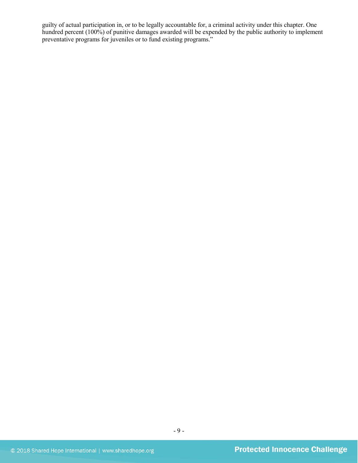guilty of actual participation in, or to be legally accountable for, a criminal activity under this chapter. One hundred percent (100%) of punitive damages awarded will be expended by the public authority to implement preventative programs for juveniles or to fund existing programs."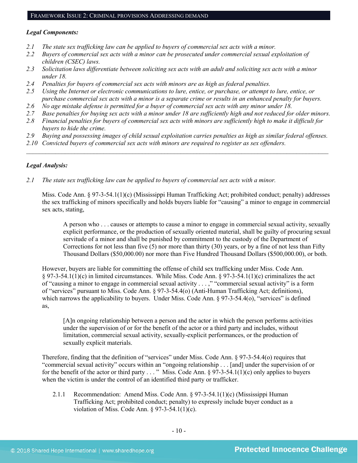#### FRAMEWORK ISSUE 2: CRIMINAL PROVISIONS ADDRESSING DEMAND

#### *Legal Components:*

- *2.1 The state sex trafficking law can be applied to buyers of commercial sex acts with a minor.*
- *2.2 Buyers of commercial sex acts with a minor can be prosecuted under commercial sexual exploitation of children (CSEC) laws.*
- *2.3 Solicitation laws differentiate between soliciting sex acts with an adult and soliciting sex acts with a minor under 18.*
- *2.4 Penalties for buyers of commercial sex acts with minors are as high as federal penalties.*
- *2.5 Using the Internet or electronic communications to lure, entice, or purchase, or attempt to lure, entice, or purchase commercial sex acts with a minor is a separate crime or results in an enhanced penalty for buyers.*
- *2.6 No age mistake defense is permitted for a buyer of commercial sex acts with any minor under 18.*
- *2.7 Base penalties for buying sex acts with a minor under 18 are sufficiently high and not reduced for older minors.*
- *2.8 Financial penalties for buyers of commercial sex acts with minors are sufficiently high to make it difficult for buyers to hide the crime.*
- *2.9 Buying and possessing images of child sexual exploitation carries penalties as high as similar federal offenses.*

 $\mathcal{L}_\mathcal{L} = \mathcal{L}_\mathcal{L} = \mathcal{L}_\mathcal{L} = \mathcal{L}_\mathcal{L} = \mathcal{L}_\mathcal{L} = \mathcal{L}_\mathcal{L} = \mathcal{L}_\mathcal{L} = \mathcal{L}_\mathcal{L} = \mathcal{L}_\mathcal{L} = \mathcal{L}_\mathcal{L} = \mathcal{L}_\mathcal{L} = \mathcal{L}_\mathcal{L} = \mathcal{L}_\mathcal{L} = \mathcal{L}_\mathcal{L} = \mathcal{L}_\mathcal{L} = \mathcal{L}_\mathcal{L} = \mathcal{L}_\mathcal{L}$ 

*2.10 Convicted buyers of commercial sex acts with minors are required to register as sex offenders.*

#### *Legal Analysis:*

*2.1 The state sex trafficking law can be applied to buyers of commercial sex acts with a minor.*

Miss. Code Ann. § 97-3-54.1(1)(c) (Mississippi Human Trafficking Act; prohibited conduct; penalty) addresses the sex trafficking of minors specifically and holds buyers liable for "causing" a minor to engage in commercial sex acts, stating,

A person who . . . causes or attempts to cause a minor to engage in commercial sexual activity, sexually explicit performance, or the production of sexually oriented material, shall be guilty of procuring sexual servitude of a minor and shall be punished by commitment to the custody of the Department of Corrections for not less than five  $(5)$  nor more than thirty  $(30)$  years, or by a fine of not less than Fifty Thousand Dollars (\$50,000.00) nor more than Five Hundred Thousand Dollars (\$500,000.00), or both.

However, buyers are liable for committing the offense of child sex trafficking under Miss. Code Ann. § 97-3-54.1(1)(c) in limited circumstances. While Miss. Code Ann. § 97-3-54.1(1)(c) criminalizes the act of "causing a minor to engage in commercial sexual activity . . . ," "commercial sexual activity" is a form of "services" pursuant to Miss. Code Ann. § 97-3-54.4(o) (Anti-Human Trafficking Act; definitions), which narrows the applicability to buyers. Under Miss. Code Ann. § 97-3-54.4(o), "services" is defined as,

[A]n ongoing relationship between a person and the actor in which the person performs activities under the supervision of or for the benefit of the actor or a third party and includes, without limitation, commercial sexual activity, sexually-explicit performances, or the production of sexually explicit materials.

Therefore, finding that the definition of "services" under Miss. Code Ann. § 97-3-54.4(o) requires that "commercial sexual activity" occurs within an "ongoing relationship . . . [and] under the supervision of or for the benefit of the actor or third party  $\dots$  " Miss. Code Ann. § 97-3-54.1(1)(c) only applies to buyers when the victim is under the control of an identified third party or trafficker.

2.1.1 Recommendation: Amend Miss. Code Ann. § 97-3-54.1(1)(c) (Mississippi Human Trafficking Act; prohibited conduct; penalty) to expressly include buyer conduct as a violation of Miss. Code Ann. § 97-3-54.1(1)(c).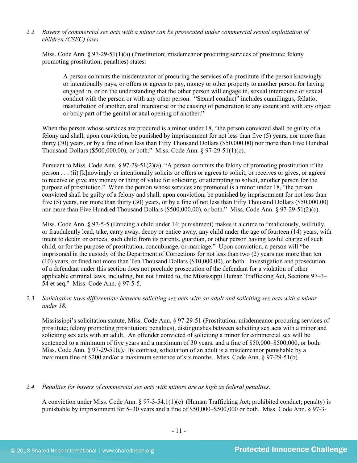#### *2.2 Buyers of commercial sex acts with a minor can be prosecuted under commercial sexual exploitation of children (CSEC) laws.*

Miss. Code Ann. § 97-29-51(1)(a) (Prostitution; misdemeanor procuring services of prostitute; felony promoting prostitution; penalties) states:

A person commits the misdemeanor of procuring the services of a prostitute if the person knowingly or intentionally pays, or offers or agrees to pay, money or other property to another person for having engaged in, or on the understanding that the other person will engage in, sexual intercourse or sexual conduct with the person or with any other person. "Sexual conduct" includes cunnilingus, fellatio, masturbation of another, anal intercourse or the causing of penetration to any extent and with any object or body part of the genital or anal opening of another."

When the person whose services are procured is a minor under 18, "the person convicted shall be guilty of a felony and shall, upon conviction, be punished by imprisonment for not less than five (5) years, nor more than thirty (30) years, or by a fine of not less than Fifty Thousand Dollars (\$50,000.00) nor more than Five Hundred Thousand Dollars (\$500,000.00), or both." Miss. Code Ann. § 97-29-51(1)(c).

Pursuant to Miss. Code Ann. § 97-29-51(2)(a), "A person commits the felony of promoting prostitution if the person . . . (ii) [k]nowingly or intentionally solicits or offers or agrees to solicit, or receives or gives, or agrees to receive or give any money or thing of value for soliciting, or attempting to solicit, another person for the purpose of prostitution." When the person whose services are promoted is a minor under 18, "the person convicted shall be guilty of a felony and shall, upon conviction, be punished by imprisonment for not less than five (5) years, nor more than thirty (30) years, or by a fine of not less than Fifty Thousand Dollars (\$50,000.00) nor more than Five Hundred Thousand Dollars (\$500,000.00), or both." Miss. Code Ann. § 97-29-51(2)(c).

Miss. Code Ann. § 97-5-5 (Enticing a child under 14; punishment) makes it a crime to "maliciously, willfully, or fraudulently lead, take, carry away, decoy or entice away, any child under the age of fourteen (14) years, with intent to detain or conceal such child from its parents, guardian, or other person having lawful charge of such child, or for the purpose of prostitution, concubinage, or marriage." Upon conviction, a person will "be imprisoned in the custody of the Department of Corrections for not less than two (2) years nor more than ten (10) years, or fined not more than Ten Thousand Dollars (\$10,000.00), or both. Investigation and prosecution of a defendant under this section does not preclude prosecution of the defendant for a violation of other applicable criminal laws, including, but not limited to, the Mississippi Human Trafficking Act, Sections 97–3– 54 et seq." Miss. Code Ann. § 97-5-5.

*2.3 Solicitation laws differentiate between soliciting sex acts with an adult and soliciting sex acts with a minor under 18.*

Mississippi's solicitation statute, Miss. Code Ann. § 97-29-51 (Prostitution; misdemeanor procuring services of prostitute; felony promoting prostitution; penalties), distinguishes between soliciting sex acts with a minor and soliciting sex acts with an adult. An offender convicted of soliciting a minor for commercial sex will be sentenced to a minimum of five years and a maximum of 30 years, and a fine of \$50,000–\$500,000, or both. Miss. Code Ann. § 97-29-51(c). By contrast, solicitation of an adult is a misdemeanor punishable by a maximum fine of \$200 and/or a maximum sentence of six months. Miss. Code Ann. § 97-29-51(b).

#### *2.4 Penalties for buyers of commercial sex acts with minors are as high as federal penalties.*

A conviction under Miss. Code Ann. § 97-3-54.1(1)(c) (Human Trafficking Act; prohibited conduct; penalty) is punishable by imprisonment for 5–30 years and a fine of \$50,000–\$500,000 or both. Miss. Code Ann. § 97-3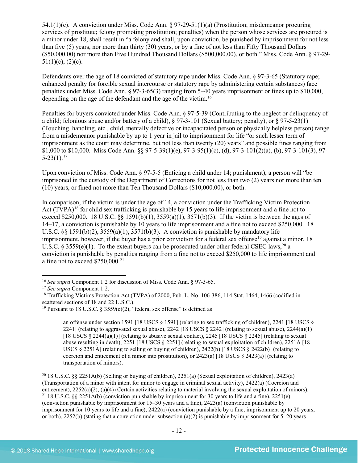54.1(1)(c). A conviction under Miss. Code Ann. § 97-29-51(1)(a) (Prostitution; misdemeanor procuring services of prostitute; felony promoting prostitution; penalties) when the person whose services are procured is a minor under 18, shall result in "a felony and shall, upon conviction, be punished by imprisonment for not less than five (5) years, nor more than thirty (30) years, or by a fine of not less than Fifty Thousand Dollars (\$50,000.00) nor more than Five Hundred Thousand Dollars (\$500,000.00), or both." Miss. Code Ann. § 97-29-  $51(1)(c)$ ,  $(2)(c)$ .

Defendants over the age of 18 convicted of statutory rape under Miss. Code Ann. § 97-3-65 (Statutory rape; enhanced penalty for forcible sexual intercourse or statutory rape by administering certain substances) face penalties under Miss. Code Ann. § 97-3-65(3) ranging from 5–40 years imprisonment or fines up to \$10,000, depending on the age of the defendant and the age of the victim.<sup>[16](#page-11-0)</sup>

Penalties for buyers convicted under Miss. Code Ann. § 97-5-39 (Contributing to the neglect or delinquency of a child; felonious abuse and/or battery of a child), § 97-3-101 (Sexual battery; penalty), or § 97-5-23(1) (Touching, handling, etc., child, mentally defective or incapacitated person or physically helpless person) range from a misdemeanor punishable by up to 1 year in jail to imprisonment for life "or such lesser term of imprisonment as the court may determine, but not less than twenty (20) years" and possible fines ranging from \$1,000 to \$10,000. Miss Code Ann. §§ 97-5-39(1)(e), 97-3-95(1)(c), (d), 97-3-101(2)(a), (b), 97-3-101(3), 97-  $5-23(1).$ <sup>[17](#page-11-1)</sup>

Upon conviction of Miss. Code Ann. § 97-5-5 (Enticing a child under 14; punishment), a person will "be imprisoned in the custody of the Department of Corrections for not less than two (2) years nor more than ten (10) years, or fined not more than Ten Thousand Dollars (\$10,000.00), or both.

In comparison, if the victim is under the age of 14, a conviction under the Trafficking Victim Protection Act (TVPA)<sup>[18](#page-11-2)</sup> for child sex trafficking is punishable by 15 years to life imprisonment and a fine not to exceed \$250,000. 18 U.S.C. §§ 1591(b)(1),  $3559(a)(1)$ ,  $3571(b)(3)$ . If the victim is between the ages of 14–17, a conviction is punishable by 10 years to life imprisonment and a fine not to exceed \$250,000. 18 U.S.C.  $\S$ § 1591(b)(2), 3559(a)(1), 3571(b)(3). A conviction is punishable by mandatory life imprisonment, however, if the buyer has a prior conviction for a federal sex offense<sup>[19](#page-11-3)</sup> against a minor. 18 U.S.C. § 3559 $(e)(1)$ . To the extent buyers can be prosecuted under other federal CSEC laws,<sup>[20](#page-11-4)</sup> a conviction is punishable by penalties ranging from a fine not to exceed \$250,000 to life imprisonment and a fine not to exceed  $$250,000$ <sup>[21](#page-11-5)</sup>

<span id="page-11-6"></span>an offense under section 1591 [18 USCS § 1591] (relating to sex trafficking of children), 2241 [18 USCS § 2241] (relating to aggravated sexual abuse), 2242 [18 USCS  $\S$  2242] (relating to sexual abuse), 2244(a)(1) [18 USCS  $\S 2244(a)(1)$ ] (relating to abusive sexual contact), 2245 [18 USCS  $\S 2245$ ] (relating to sexual abuse resulting in death), 2251 [18 USCS § 2251] (relating to sexual exploitation of children), 2251A [18 USCS § 2251A] (relating to selling or buying of children), 2422(b) [18 USCS § 2422(b)] (relating to coercion and enticement of a minor into prostitution), or  $2423(a)$  [18 USCS §  $2423(a)$ ] (relating to transportation of minors).

<span id="page-11-5"></span><span id="page-11-4"></span><sup>20</sup> 18 U.S.C. §§ 2251A(b) (Selling or buying of children), 2251(a) (Sexual exploitation of children), 2423(a) (Transportation of a minor with intent for minor to engage in criminal sexual activity), 2422(a) (Coercion and enticement), 2252(a)(2), (a)(4) (Certain activities relating to material involving the sexual exploitation of minors). <sup>21</sup> 18 U.S.C. §§ 2251A(b) (conviction punishable by imprisonment for 30 years to life and a fine), 2251(e) (conviction punishable by imprisonment for 15–30 years and a fine), 2423(a) (conviction punishable by imprisonment for 10 years to life and a fine), 2422(a) (conviction punishable by a fine, imprisonment up to 20 years, or both), 2252(b) (stating that a conviction under subsection (a)(2) is punishable by imprisonment for  $5-20$  years

<span id="page-11-0"></span> <sup>16</sup> *See supra* Component 1.2 for discussion of Miss. Code Ann. § 97-3-65.

<span id="page-11-1"></span><sup>17</sup> *See supra* Component 1.2.

<span id="page-11-2"></span><sup>&</sup>lt;sup>18</sup> Trafficking Victims Protection Act (TVPA) of 2000, Pub. L. No. 106-386, 114 Stat. 1464, 1466 (codified in scattered sections of 18 and 22 U.S.C.).

<span id="page-11-3"></span><sup>&</sup>lt;sup>19</sup> Pursuant to 18 U.S.C. § 3559(e)(2), "federal sex offense" is defined as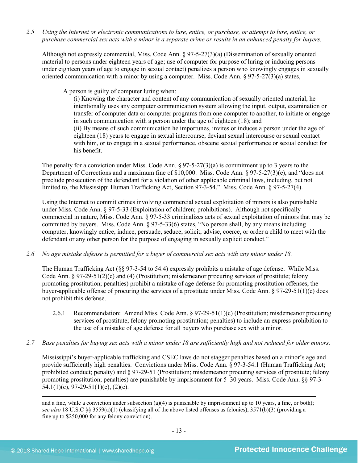*2.5 Using the Internet or electronic communications to lure, entice, or purchase, or attempt to lure, entice, or purchase commercial sex acts with a minor is a separate crime or results in an enhanced penalty for buyers.*

Although not expressly commercial, Miss. Code Ann. § 97-5-27(3)(a) (Dissemination of sexually oriented material to persons under eighteen years of age; use of computer for purpose of luring or inducing persons under eighteen years of age to engage in sexual contact) penalizes a person who knowingly engages in sexually oriented communication with a minor by using a computer. Miss. Code Ann. § 97-5-27(3)(a) states,

A person is guilty of computer luring when:

(i) Knowing the character and content of any communication of sexually oriented material, he intentionally uses any computer communication system allowing the input, output, examination or transfer of computer data or computer programs from one computer to another, to initiate or engage in such communication with a person under the age of eighteen (18); and (ii) By means of such communication he importunes, invites or induces a person under the age of eighteen (18) years to engage in sexual intercourse, deviant sexual intercourse or sexual contact with him, or to engage in a sexual performance, obscene sexual performance or sexual conduct for his benefit.

The penalty for a conviction under Miss. Code Ann. § 97-5-27(3)(a) is commitment up to 3 years to the Department of Corrections and a maximum fine of \$10,000. Miss. Code Ann. § 97-5-27(3)(e), and "does not preclude prosecution of the defendant for a violation of other applicable criminal laws, including, but not limited to, the Mississippi Human Trafficking Act, Section 97-3-54." Miss. Code Ann. § 97-5-27(4).

Using the Internet to commit crimes involving commercial sexual exploitation of minors is also punishable under Miss. Code Ann. § 97-5-33 (Exploitation of children; prohibitions). Although not specifically commercial in nature, Miss. Code Ann. § 97-5-33 criminalizes acts of sexual exploitation of minors that may be committed by buyers. Miss. Code Ann. § 97-5-33(6) states, "No person shall, by any means including computer, knowingly entice, induce, persuade, seduce, solicit, advise, coerce, or order a child to meet with the defendant or any other person for the purpose of engaging in sexually explicit conduct."

*2.6 No age mistake defense is permitted for a buyer of commercial sex acts with any minor under 18.*

The Human Trafficking Act (§§ 97-3-54 to 54.4) expressly prohibits a mistake of age defense. While Miss. Code Ann. § 97-29-51(2)(c) and (4) (Prostitution; misdemeanor procuring services of prostitute; felony promoting prostitution; penalties) prohibit a mistake of age defense for promoting prostitution offenses, the buyer-applicable offense of procuring the services of a prostitute under Miss. Code Ann. § 97-29-51(1)(c) does not prohibit this defense.

- 2.6.1 Recommendation: Amend Miss. Code Ann. § 97-29-51(1)(c) (Prostitution; misdemeanor procuring services of prostitute; felony promoting prostitution; penalties) to include an express prohibition to the use of a mistake of age defense for all buyers who purchase sex with a minor.
- *2.7 Base penalties for buying sex acts with a minor under 18 are sufficiently high and not reduced for older minors.*

Mississippi's buyer-applicable trafficking and CSEC laws do not stagger penalties based on a minor's age and provide sufficiently high penalties. Convictions under Miss. Code Ann. § 97-3-54.1 (Human Trafficking Act; prohibited conduct; penalty) and § 97-29-51 (Prostitution; misdemeanor procuring services of prostitute; felony promoting prostitution; penalties) are punishable by imprisonment for 5–30 years. Miss. Code Ann. §§ 97-3- 54.1(1)(c), 97-29-51(1)(c), (2)(c).

 $\overline{a}$ 

and a fine, while a conviction under subsection (a)(4) is punishable by imprisonment up to 10 years, a fine, or both); *see also* 18 U.S.C §§ 3559(a)(1) (classifying all of the above listed offenses as felonies), 3571(b)(3) (providing a fine up to \$250,000 for any felony conviction).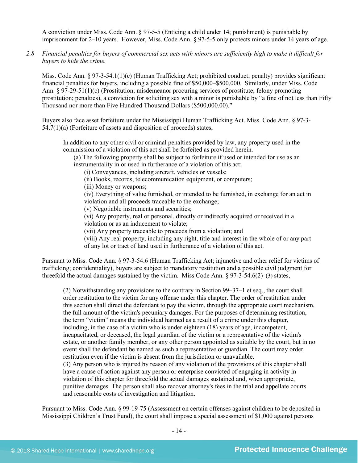A conviction under Miss. Code Ann. § 97-5-5 (Enticing a child under 14; punishment) is punishable by imprisonment for 2–10 years. However, Miss. Code Ann. § 97-5-5 only protects minors under 14 years of age.

*2.8 Financial penalties for buyers of commercial sex acts with minors are sufficiently high to make it difficult for buyers to hide the crime.*

Miss. Code Ann. § 97-3-54.1(1)(c) (Human Trafficking Act; prohibited conduct; penalty) provides significant financial penalties for buyers, including a possible fine of \$50,000–\$500,000. Similarly, under Miss. Code Ann. § 97-29-51(1)(c) (Prostitution; misdemeanor procuring services of prostitute; felony promoting prostitution; penalties), a conviction for soliciting sex with a minor is punishable by "a fine of not less than Fifty Thousand nor more than Five Hundred Thousand Dollars (\$500,000.00)."

Buyers also face asset forfeiture under the Mississippi Human Trafficking Act. Miss. Code Ann. § 97-3- 54.7(1)(a) (Forfeiture of assets and disposition of proceeds) states,

In addition to any other civil or criminal penalties provided by law, any property used in the commission of a violation of this act shall be forfeited as provided herein.

(a) The following property shall be subject to forfeiture if used or intended for use as an instrumentality in or used in furtherance of a violation of this act:

(i) Conveyances, including aircraft, vehicles or vessels;

(ii) Books, records, telecommunication equipment, or computers;

(iii) Money or weapons;

(iv) Everything of value furnished, or intended to be furnished, in exchange for an act in violation and all proceeds traceable to the exchange;

(v) Negotiable instruments and securities;

(vi) Any property, real or personal, directly or indirectly acquired or received in a violation or as an inducement to violate;

(vii) Any property traceable to proceeds from a violation; and

(viii) Any real property, including any right, title and interest in the whole of or any part of any lot or tract of land used in furtherance of a violation of this act.

Pursuant to Miss. Code Ann. § 97-3-54.6 (Human Trafficking Act; injunctive and other relief for victims of trafficking; confidentiality), buyers are subject to mandatory restitution and a possible civil judgment for threefold the actual damages sustained by the victim. Miss Code Ann.  $\S 97-3-54.6(2)$ –(3) states,

(2) Notwithstanding any provisions to the contrary in Section 99–37–1 et seq., the court shall order restitution to the victim for any offense under this chapter. The order of restitution under this section shall direct the defendant to pay the victim, through the appropriate court mechanism, the full amount of the victim's pecuniary damages. For the purposes of determining restitution, the term "victim" means the individual harmed as a result of a crime under this chapter, including, in the case of a victim who is under eighteen (18) years of age, incompetent, incapacitated, or deceased, the legal guardian of the victim or a representative of the victim's estate, or another family member, or any other person appointed as suitable by the court, but in no event shall the defendant be named as such a representative or guardian. The court may order restitution even if the victim is absent from the jurisdiction or unavailable. (3) Any person who is injured by reason of any violation of the provisions of this chapter shall have a cause of action against any person or enterprise convicted of engaging in activity in violation of this chapter for threefold the actual damages sustained and, when appropriate, punitive damages. The person shall also recover attorney's fees in the trial and appellate courts and reasonable costs of investigation and litigation.

Pursuant to Miss. Code Ann. § 99-19-75 (Assessment on certain offenses against children to be deposited in Mississippi Children's Trust Fund), the court shall impose a special assessment of \$1,000 against persons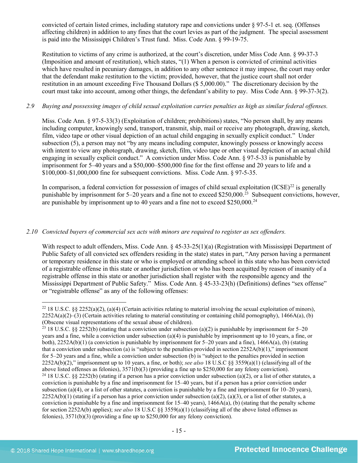convicted of certain listed crimes, including statutory rape and convictions under § 97-5-1 et. seq. (Offenses affecting children) in addition to any fines that the court levies as part of the judgment. The special assessment is paid into the Mississippi Children's Trust fund. Miss. Code Ann. § 99-19-75.

Restitution to victims of any crime is authorized, at the court's discretion, under Miss Code Ann. § 99-37-3 (Imposition and amount of restitution), which states, "(1) When a person is convicted of criminal activities which have resulted in pecuniary damages, in addition to any other sentence it may impose, the court may order that the defendant make restitution to the victim; provided, however, that the justice court shall not order restitution in an amount exceeding Five Thousand Dollars (\$ 5,000.00)." The discretionary decision by the court must take into account, among other things, the defendant's ability to pay. Miss Code Ann. § 99-37-3(2).

# *2.9 Buying and possessing images of child sexual exploitation carries penalties as high as similar federal offenses.*

Miss. Code Ann. § 97-5-33(3) (Exploitation of children; prohibitions) states, "No person shall, by any means including computer, knowingly send, transport, transmit, ship, mail or receive any photograph, drawing, sketch, film, video tape or other visual depiction of an actual child engaging in sexually explicit conduct." Under subsection (5), a person may not "by any means including computer, knowingly possess or knowingly access with intent to view any photograph, drawing, sketch, film, video tape or other visual depiction of an actual child engaging in sexually explicit conduct." A conviction under Miss. Code Ann. § 97-5-33 is punishable by imprisonment for 5–40 years and a \$50,000–\$500,000 fine for the first offense and 20 years to life and a \$100,000–\$1,000,000 fine for subsequent convictions. Miss. Code Ann. § 97-5-35.

In comparison, a federal conviction for possession of images of child sexual exploitation  $(ICSE)^{22}$  $(ICSE)^{22}$  $(ICSE)^{22}$  is generally punishable by imprisonment for  $5-20$  years and a fine not to exceed \$250,000.<sup>[23](#page-14-1)</sup> Subsequent convictions, however, are punishable by imprisonment up to 40 years and a fine not to exceed \$250,000.<sup>[24](#page-14-2)</sup>

# *2.10 Convicted buyers of commercial sex acts with minors are required to register as sex offenders.*

With respect to adult offenders, Miss. Code Ann. § 45-33-25(1)(a) (Registration with Mississippi Department of Public Safety of all convicted sex offenders residing in the state) states in part, "Any person having a permanent or temporary residence in this state or who is employed or attending school in this state who has been convicted of a registrable offense in this state or another jurisdiction or who has been acquitted by reason of insanity of a registrable offense in this state or another jurisdiction shall register with the responsible agency and the Mississippi Department of Public Safety." Miss. Code Ann. § 45-33-23(h) (Definitions) defines "sex offense" or "registrable offense" as any of the following offenses:

<span id="page-14-0"></span><sup>&</sup>lt;sup>22</sup> 18 U.S.C. §§ 2252(a)(2), (a)(4) (Certain activities relating to material involving the sexual exploitation of minors),  $2252A(a)(2)$ –(3) (Certain activities relating to material constituting or containing child pornography), 1466A(a), (b) (Obscene visual representations of the sexual abuse of children).

<span id="page-14-1"></span><sup>&</sup>lt;sup>23</sup> 18 U.S.C. §§ 2252(b) (stating that a conviction under subsection (a)(2) is punishable by imprisonment for 5–20 years and a fine, while a conviction under subsection (a)(4) is punishable by imprisonment up to 10 years, a fine, or both), 2252A(b)(1) (a conviction is punishable by imprisonment for 5–20 years and a fine), 1466A(a), (b) (stating that a conviction under subsection (a) is "subject to the penalties provided in section 2252A(b)(1)," imprisonment for 5–20 years and a fine, while a conviction under subsection (b) is "subject to the penalties provided in section 2252A(b)(2)," imprisonment up to 10 years, a fine, or both); *see also* 18 U.S.C §§ 3559(a)(1) (classifying all of the above listed offenses as felonies), 3571(b)(3) (providing a fine up to \$250,000 for any felony conviction). <sup>24</sup> 18 U.S.C. §§ 2252(b) (stating if a person has a prior conviction under subsection (a)(2), or a list of other statutes, a

<span id="page-14-2"></span>conviction is punishable by a fine and imprisonment for 15–40 years, but if a person has a prior conviction under subsection (a)(4), or a list of other statutes, a conviction is punishable by a fine and imprisonment for  $10-20$  years),  $2252A(b)(1)$  (stating if a person has a prior conviction under subsection (a)(2), (a)(3), or a list of other statutes, a conviction is punishable by a fine and imprisonment for  $15-40$  years),  $1466A(a)$ , (b) (stating that the penalty scheme for section 2252A(b) applies); *see also* 18 U.S.C §§ 3559(a)(1) (classifying all of the above listed offenses as felonies), 3571(b)(3) (providing a fine up to \$250,000 for any felony conviction).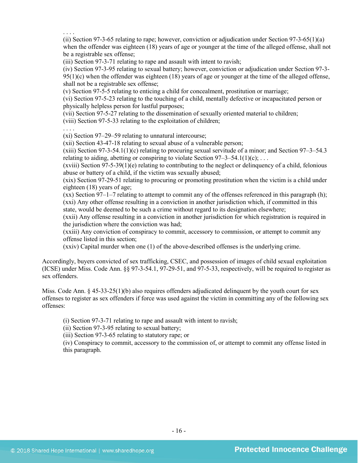. . . . (ii) Section 97-3-65 relating to rape; however, conviction or adjudication under Section 97-3-65(1)(a) when the offender was eighteen (18) years of age or younger at the time of the alleged offense, shall not be a registrable sex offense;

(iii) Section 97-3-71 relating to rape and assault with intent to ravish;

(iv) Section 97-3-95 relating to sexual battery; however, conviction or adjudication under Section 97-3- 95(1)(c) when the offender was eighteen (18) years of age or younger at the time of the alleged offense, shall not be a registrable sex offense;

(v) Section 97-5-5 relating to enticing a child for concealment, prostitution or marriage;

(vi) Section 97-5-23 relating to the touching of a child, mentally defective or incapacitated person or physically helpless person for lustful purposes;

(vii) Section 97-5-27 relating to the dissemination of sexually oriented material to children;

(viii) Section 97-5-33 relating to the exploitation of children;

. . . .

(xi) Section 97–29–59 relating to unnatural intercourse;

(xii) Section 43-47-18 relating to sexual abuse of a vulnerable person;

(xiii) Section 97-3-54.1(1)(c) relating to procuring sexual servitude of a minor; and Section 97–3–54.3 relating to aiding, abetting or conspiring to violate Section  $97-3-54.1(1)(c)$ ; ...

 $(xviii)$  Section 97-5-39(1)(e) relating to contributing to the neglect or delinguency of a child, felonious abuse or battery of a child, if the victim was sexually abused;

(xix) Section 97-29-51 relating to procuring or promoting prostitution when the victim is a child under eighteen (18) years of age;

(xx) Section 97–1–7 relating to attempt to commit any of the offenses referenced in this paragraph (h); (xxi) Any other offense resulting in a conviction in another jurisdiction which, if committed in this state, would be deemed to be such a crime without regard to its designation elsewhere;

(xxii) Any offense resulting in a conviction in another jurisdiction for which registration is required in the jurisdiction where the conviction was had;

(xxiii) Any conviction of conspiracy to commit, accessory to commission, or attempt to commit any offense listed in this section;

(xxiv) Capital murder when one (1) of the above-described offenses is the underlying crime.

Accordingly, buyers convicted of sex trafficking, CSEC, and possession of images of child sexual exploitation (ICSE) under Miss. Code Ann. §§ 97-3-54.1, 97-29-51, and 97-5-33, respectively, will be required to register as sex offenders.

Miss. Code Ann. § 45-33-25(1)(b) also requires offenders adjudicated delinquent by the youth court for sex offenses to register as sex offenders if force was used against the victim in committing any of the following sex offenses:

(i) Section 97-3-71 relating to rape and assault with intent to ravish;

(ii) Section 97-3-95 relating to sexual battery;

(iii) Section 97-3-65 relating to statutory rape; or

(iv) Conspiracy to commit, accessory to the commission of, or attempt to commit any offense listed in this paragraph.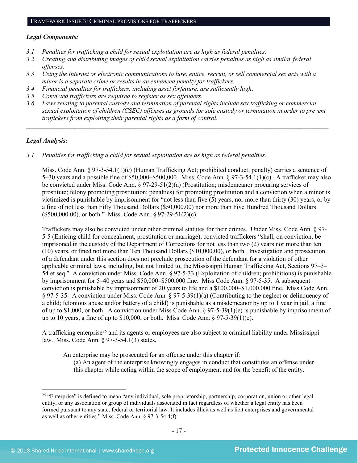#### *Legal Components:*

- *3.1 Penalties for trafficking a child for sexual exploitation are as high as federal penalties.*
- *3.2 Creating and distributing images of child sexual exploitation carries penalties as high as similar federal offenses.*
- *3.3 Using the Internet or electronic communications to lure, entice, recruit, or sell commercial sex acts with a minor is a separate crime or results in an enhanced penalty for traffickers.*
- *3.4 Financial penalties for traffickers, including asset forfeiture, are sufficiently high*.
- *3.5 Convicted traffickers are required to register as sex offenders.*
- *3.6 Laws relating to parental custody and termination of parental rights include sex trafficking or commercial sexual exploitation of children (CSEC) offenses as grounds for sole custody or termination in order to prevent traffickers from exploiting their parental rights as a form of control.*

*\_\_\_\_\_\_\_\_\_\_\_\_\_\_\_\_\_\_\_\_\_\_\_\_\_\_\_\_\_\_\_\_\_\_\_\_\_\_\_\_\_\_\_\_\_\_\_\_\_\_\_\_\_\_\_\_\_\_\_\_\_\_\_\_\_\_\_\_\_\_\_\_\_\_\_\_\_\_\_\_\_\_\_\_\_\_\_\_\_\_\_\_\_\_*

# *Legal Analysis:*

*3.1 Penalties for trafficking a child for sexual exploitation are as high as federal penalties.* 

Miss. Code Ann. § 97-3-54.1(1)(c) (Human Trafficking Act; prohibited conduct; penalty) carries a sentence of 5–30 years and a possible fine of \$50,000–\$500,000. Miss. Code Ann. § 97-3-54.1(1)(c). A trafficker may also be convicted under Miss. Code Ann. § 97-29-51(2)(a) (Prostitution; misdemeanor procuring services of prostitute; felony promoting prostitution; penalties) for promoting prostitution and a conviction when a minor is victimized is punishable by imprisonment for "not less than five (5) years, nor more than thirty (30) years, or by a fine of not less than Fifty Thousand Dollars (\$50,000.00) nor more than Five Hundred Thousand Dollars (\$500,000.00), or both." Miss. Code Ann. § 97-29-51(2)(c).

Traffickers may also be convicted under other criminal statutes for their crimes. Under Miss. Code Ann. § 97- 5-5 (Enticing child for concealment, prostitution or marriage), convicted traffickers "shall, on conviction, be imprisoned in the custody of the Department of Corrections for not less than two (2) years nor more than ten (10) years, or fined not more than Ten Thousand Dollars (\$10,000.00), or both. Investigation and prosecution of a defendant under this section does not preclude prosecution of the defendant for a violation of other applicable criminal laws, including, but not limited to, the Mississippi Human Trafficking Act, Sections 97–3– 54 et seq." A conviction under Miss. Code Ann. § 97-5-33 (Exploitation of children; prohibitions) is punishable by imprisonment for 5–40 years and \$50,000–\$500,000 fine. Miss Code Ann. § 97-5-35. A subsequent conviction is punishable by imprisonment of 20 years to life and a \$100,000–\$1,000,000 fine. Miss Code Ann. § 97-5-35. A conviction under Miss. Code Ann. § 97-5-39(1)(a) (Contributing to the neglect or delinquency of a child; felonious abuse and/or battery of a child) is punishable as a misdemeanor by up to 1 year in jail, a fine of up to \$1,000, or both. A conviction under Miss Code Ann. § 97-5-39(1)(e) is punishable by imprisonment of up to 10 years, a fine of up to  $$10,000$ , or both. Miss. Code Ann.  $$97-5-39(1)(e)$ .

A trafficking enterprise<sup>[25](#page-16-0)</sup> and its agents or employees are also subject to criminal liability under Mississippi law. Miss. Code Ann. § 97-3-54.1(3) states,

An enterprise may be prosecuted for an offense under this chapter if:

(a) An agent of the enterprise knowingly engages in conduct that constitutes an offense under this chapter while acting within the scope of employment and for the benefit of the entity.

<span id="page-16-0"></span><sup>&</sup>lt;sup>25</sup> "Enterprise" is defined to mean "any individual, sole proprietorship, partnership, corporation, union or other legal entity, or any association or group of individuals associated in fact regardless of whether a legal entity has been formed pursuant to any state, federal or territorial law. It includes illicit as well as licit enterprises and governmental as well as other entities." Miss. Code Ann. § 97-3-54.4(f).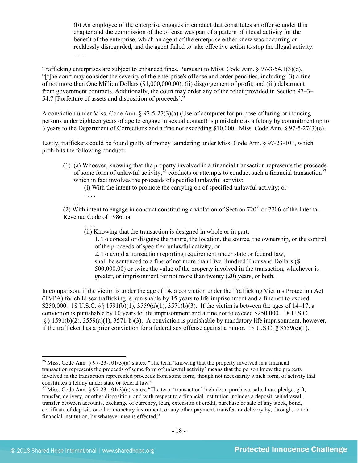(b) An employee of the enterprise engages in conduct that constitutes an offense under this chapter and the commission of the offense was part of a pattern of illegal activity for the benefit of the enterprise, which an agent of the enterprise either knew was occurring or recklessly disregarded, and the agent failed to take effective action to stop the illegal activity. . . . .

Trafficking enterprises are subject to enhanced fines. Pursuant to Miss. Code Ann. § 97-3-54.1(3)(d), "[t]he court may consider the severity of the enterprise's offense and order penalties, including: (i) a fine of not more than One Million Dollars (\$1,000,000.00); (ii) disgorgement of profit; and (iii) debarment from government contracts. Additionally, the court may order any of the relief provided in Section 97–3– 54.7 [Forfeiture of assets and disposition of proceeds]."

A conviction under Miss. Code Ann. § 97-5-27(3)(a) (Use of computer for purpose of luring or inducing persons under eighteen years of age to engage in sexual contact) is punishable as a felony by commitment up to 3 years to the Department of Corrections and a fine not exceeding \$10,000. Miss. Code Ann. § 97-5-27(3)(e).

Lastly, traffickers could be found guilty of money laundering under Miss. Code Ann. § 97-23-101, which prohibits the following conduct:

(1) (a) Whoever, knowing that the property involved in a financial transaction represents the proceeds of some form of unlawful activity,  $26$  conducts or attempts to conduct such a financial transaction<sup>[27](#page-17-1)</sup> which in fact involves the proceeds of specified unlawful activity:

<span id="page-17-2"></span>(i) With the intent to promote the carrying on of specified unlawful activity; or

. . . . . . . .

(2) With intent to engage in conduct constituting a violation of Section 7201 or 7206 of the Internal Revenue Code of 1986; or

. . . . (ii) Knowing that the transaction is designed in whole or in part:

<span id="page-17-3"></span>1. To conceal or disguise the nature, the location, the source, the ownership, or the control of the proceeds of specified unlawful activity; or

2. To avoid a transaction reporting requirement under state or federal law, shall be sentenced to a fine of not more than Five Hundred Thousand Dollars (\$ 500,000.00) or twice the value of the property involved in the transaction, whichever is greater, or imprisonment for not more than twenty (20) years, or both.

In comparison, if the victim is under the age of 14, a conviction under the Trafficking Victims Protection Act (TVPA) for child sex trafficking is punishable by 15 years to life imprisonment and a fine not to exceed \$250,000. 18 U.S.C. §§ 1591(b)(1), 3559(a)(1), 3571(b)(3). If the victim is between the ages of 14–17, a conviction is punishable by 10 years to life imprisonment and a fine not to exceed \$250,000. 18 U.S.C. §§ 1591(b)(2), 3559(a)(1), 3571(b)(3). A conviction is punishable by mandatory life imprisonment, however, if the trafficker has a prior conviction for a federal sex offense against a minor. 18 U.S.C. § 3559(e)(1).

<span id="page-17-0"></span> <sup>26</sup> Miss. Code Ann. § 97-23-101(3)(a) states, "The term 'knowing that the property involved in a financial transaction represents the proceeds of some form of unlawful activity' means that the person knew the property involved in the transaction represented proceeds from some form, though not necessarily which form, of activity that constitutes a felony under state or federal law."

<span id="page-17-1"></span><sup>&</sup>lt;sup>27</sup> Miss. Code Ann. § 97-23-101(3)(c) states, "The term 'transaction' includes a purchase, sale, loan, pledge, gift, transfer, delivery, or other disposition, and with respect to a financial institution includes a deposit, withdrawal, transfer between accounts, exchange of currency, loan, extension of credit, purchase or sale of any stock, bond, certificate of deposit, or other monetary instrument, or any other payment, transfer, or delivery by, through, or to a financial institution, by whatever means effected."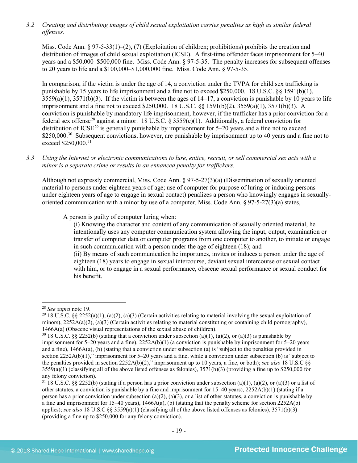*3.2 Creating and distributing images of child sexual exploitation carries penalties as high as similar federal offenses.*

Miss. Code Ann.  $\S 97-5-33(1)-(2)$ , (7) (Exploitation of children; prohibitions) prohibits the creation and distribution of images of child sexual exploitation (ICSE). A first-time offender faces imprisonment for 5–40 years and a \$50,000–\$500,000 fine. Miss. Code Ann. § 97-5-35. The penalty increases for subsequent offenses to 20 years to life and a \$100,000–\$1,000,000 fine. Miss. Code Ann. § 97-5-35.

In comparison, if the victim is under the age of 14, a conviction under the TVPA for child sex trafficking is punishable by 15 years to life imprisonment and a fine not to exceed \$250,000. 18 U.S.C. §§ 1591(b)(1),  $3559(a)(1)$ ,  $3571(b)(3)$ . If the victim is between the ages of  $14-17$ , a conviction is punishable by 10 years to life imprisonment and a fine not to exceed \$250,000. 18 U.S.C. §§ 1591(b)(2), 3559(a)(1), 3571(b)(3). A conviction is punishable by mandatory life imprisonment, however, if the trafficker has a prior conviction for a federal sex offense<sup>[28](#page-18-0)</sup> against a minor. 18 U.S.C. § 3559(e)(1). Additionally, a federal conviction for distribution of ICSE<sup>[29](#page-18-1)</sup> is generally punishable by imprisonment for  $5-20$  years and a fine not to exceed \$250,000.<sup>[30](#page-18-2)</sup> Subsequent convictions, however, are punishable by imprisonment up to 40 years and a fine not to exceed \$250,000.[31](#page-18-3)

*3.3 Using the Internet or electronic communications to lure, entice, recruit, or sell commercial sex acts with a minor is a separate crime or results in an enhanced penalty for traffickers.*

Although not expressly commercial, Miss. Code Ann. § 97-5-27(3)(a) (Dissemination of sexually oriented material to persons under eighteen years of age; use of computer for purpose of luring or inducing persons under eighteen years of age to engage in sexual contact) penalizes a person who knowingly engages in sexuallyoriented communication with a minor by use of a computer. Miss. Code Ann. § 97-5-27(3)(a) states,

A person is guilty of computer luring when:

(i) Knowing the character and content of any communication of sexually oriented material, he intentionally uses any computer communication system allowing the input, output, examination or transfer of computer data or computer programs from one computer to another, to initiate or engage in such communication with a person under the age of eighteen (18); and (ii) By means of such communication he importunes, invites or induces a person under the age of eighteen (18) years to engage in sexual intercourse, deviant sexual intercourse or sexual contact with him, or to engage in a sexual performance, obscene sexual performance or sexual conduct for

his benefit.

<span id="page-18-0"></span> <sup>28</sup> *See supra* note [19.](#page-11-6)

<span id="page-18-1"></span><sup>&</sup>lt;sup>29</sup> 18 U.S.C. §§ 2252(a)(1), (a)(2), (a)(3) (Certain activities relating to material involving the sexual exploitation of minors),  $2252A(a)(2)$ , (a)(3) (Certain activities relating to material constituting or containing child pornography), 1466A(a) (Obscene visual representations of the sexual abuse of children).<br><sup>30</sup> 18 U.S.C. §§ 2252(b) (stating that a conviction under subsection (a)(1), (a)(2), or (a)(3) is punishable by

<span id="page-18-2"></span>imprisonment for 5–20 years and a fine), 2252A(b)(1) (a conviction is punishable by imprisonment for 5–20 years and a fine), 1466A(a), (b) (stating that a conviction under subsection (a) is "subject to the penalties provided in section 2252A(b)(1)," imprisonment for 5–20 years and a fine, while a conviction under subsection (b) is "subject to the penalties provided in section 2252A(b)(2)," imprisonment up to 10 years, a fine, or both); *see also* 18 U.S.C §§  $3559(a)(1)$  (classifying all of the above listed offenses as felonies),  $3571(b)(3)$  (providing a fine up to \$250,000 for any felony conviction).

<span id="page-18-3"></span> $31\,18$  U.S.C. §§ 2252(b) (stating if a person has a prior conviction under subsection (a)(1), (a)(2), or (a)(3) or a list of other statutes, a conviction is punishable by a fine and imprisonment for  $15-40$  years),  $2252A(b)(1)$  (stating if a person has a prior conviction under subsection (a)(2), (a)(3), or a list of other statutes, a conviction is punishable by a fine and imprisonment for 15–40 years),  $1466A(a)$ , (b) (stating that the penalty scheme for section 2252A(b) applies); *see also* 18 U.S.C §§ 3559(a)(1) (classifying all of the above listed offenses as felonies), 3571(b)(3) (providing a fine up to \$250,000 for any felony conviction).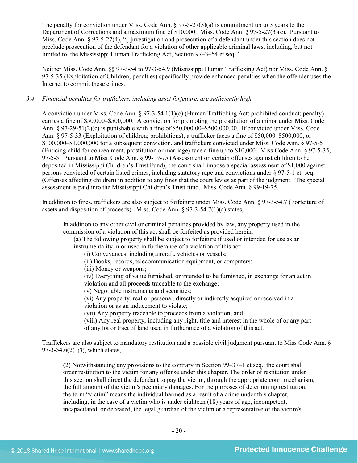The penalty for conviction under Miss. Code Ann.  $\S 97-5-27(3)(a)$  is commitment up to 3 years to the Department of Corrections and a maximum fine of \$10,000. Miss. Code Ann. § 97-5-27(3)(e). Pursuant to Miss. Code Ann. § 97-5-27(4), "[i]nvestigation and prosecution of a defendant under this section does not preclude prosecution of the defendant for a violation of other applicable criminal laws, including, but not limited to, the Mississippi Human Trafficking Act, Section 97–3–54 et seq."

Neither Miss. Code Ann. §§ 97-3-54 to 97-3-54.9 (Mississippi Human Trafficking Act) nor Miss. Code Ann. § 97-5-35 (Exploitation of Children; penalties) specifically provide enhanced penalties when the offender uses the Internet to commit these crimes.

#### *3.4 Financial penalties for traffickers, including asset forfeiture, are sufficiently high.*

A conviction under Miss. Code Ann. § 97-3-54.1(1)(c) (Human Trafficking Act; prohibited conduct; penalty) carries a fine of \$50,000–\$500,000. A conviction for promoting the prostitution of a minor under Miss. Code Ann. § 97-29-51(2)(c) is punishable with a fine of \$50,000.00–\$500,000.00. If convicted under Miss. Code Ann. § 97-5-33 (Exploitation of children; prohibitions), a trafficker faces a fine of \$50,000–\$500,000, or \$100,000–\$1,000,000 for a subsequent conviction, and traffickers convicted under Miss. Code Ann. § 97-5-5 (Enticing child for concealment, prostitution or marriage) face a fine up to \$10,000. Miss Code Ann. § 97-5-35, 97-5-5. Pursuant to Miss. Code Ann. § 99-19-75 (Assessment on certain offenses against children to be deposited in Mississippi Children's Trust Fund), the court shall impose a special assessment of \$1,000 against persons convicted of certain listed crimes, including statutory rape and convictions under § 97-5-1 et. seq. (Offenses affecting children) in addition to any fines that the court levies as part of the judgment. The special assessment is paid into the Mississippi Children's Trust fund. Miss. Code Ann. § 99-19-75.

In addition to fines, traffickers are also subject to forfeiture under Miss. Code Ann. § 97-3-54.7 (Forfeiture of assets and disposition of proceeds). Miss. Code Ann. § 97-3-54.7(1)(a) states,

In addition to any other civil or criminal penalties provided by law, any property used in the commission of a violation of this act shall be forfeited as provided herein.

(a) The following property shall be subject to forfeiture if used or intended for use as an instrumentality in or used in furtherance of a violation of this act:

(i) Conveyances, including aircraft, vehicles or vessels;

(ii) Books, records, telecommunication equipment, or computers;

(iii) Money or weapons;

(iv) Everything of value furnished, or intended to be furnished, in exchange for an act in violation and all proceeds traceable to the exchange;

(v) Negotiable instruments and securities;

(vi) Any property, real or personal, directly or indirectly acquired or received in a violation or as an inducement to violate;

(vii) Any property traceable to proceeds from a violation; and

(viii) Any real property, including any right, title and interest in the whole of or any part of any lot or tract of land used in furtherance of a violation of this act.

Traffickers are also subject to mandatory restitution and a possible civil judgment pursuant to Miss Code Ann. § 97-3-54.6(2)–(3), which states,

(2) Notwithstanding any provisions to the contrary in Section 99–37–1 et seq., the court shall order restitution to the victim for any offense under this chapter. The order of restitution under this section shall direct the defendant to pay the victim, through the appropriate court mechanism, the full amount of the victim's pecuniary damages. For the purposes of determining restitution, the term "victim" means the individual harmed as a result of a crime under this chapter, including, in the case of a victim who is under eighteen (18) years of age, incompetent, incapacitated, or deceased, the legal guardian of the victim or a representative of the victim's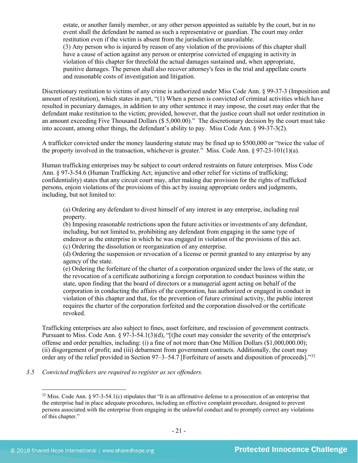estate, or another family member, or any other person appointed as suitable by the court, but in no event shall the defendant be named as such a representative or guardian. The court may order restitution even if the victim is absent from the jurisdiction or unavailable. (3) Any person who is injured by reason of any violation of the provisions of this chapter shall have a cause of action against any person or enterprise convicted of engaging in activity in violation of this chapter for threefold the actual damages sustained and, when appropriate, punitive damages. The person shall also recover attorney's fees in the trial and appellate courts and reasonable costs of investigation and litigation.

Discretionary restitution to victims of any crime is authorized under Miss Code Ann. § 99-37-3 (Imposition and amount of restitution), which states in part, "(1) When a person is convicted of criminal activities which have resulted in pecuniary damages, in addition to any other sentence it may impose, the court may order that the defendant make restitution to the victim; provided, however, that the justice court shall not order restitution in an amount exceeding Five Thousand Dollars (\$ 5,000.00)." The discretionary decision by the court must take into account, among other things, the defendant's ability to pay. Miss Code Ann. § 99-37-3(2).

A trafficker convicted under the money laundering statute may be fined up to \$500,000 or "twice the value of the property involved in the transaction, whichever is greater." Miss. Code Ann.  $\S 97-23-101(1)(a)$ .

Human trafficking enterprises may be subject to court ordered restraints on future enterprises. Miss Code Ann. § 97-3-54.6 (Human Trafficking Act; injunctive and other relief for victims of trafficking; confidentiality) states that any circuit court may, after making due provision for the rights of trafficked persons, enjoin violations of the provisions of this act by issuing appropriate orders and judgments, including, but not limited to:

(a) Ordering any defendant to divest himself of any interest in any enterprise, including real property.

(b) Imposing reasonable restrictions upon the future activities or investments of any defendant, including, but not limited to, prohibiting any defendant from engaging in the same type of endeavor as the enterprise in which he was engaged in violation of the provisions of this act. (c) Ordering the dissolution or reorganization of any enterprise.

(d) Ordering the suspension or revocation of a license or permit granted to any enterprise by any agency of the state.

(e) Ordering the forfeiture of the charter of a corporation organized under the laws of the state, or the revocation of a certificate authorizing a foreign corporation to conduct business within the state, upon finding that the board of directors or a managerial agent acting on behalf of the corporation in conducting the affairs of the corporation, has authorized or engaged in conduct in violation of this chapter and that, for the prevention of future criminal activity, the public interest requires the charter of the corporation forfeited and the corporation dissolved or the certificate revoked.

Trafficking enterprises are also subject to fines, asset forfeiture, and rescission of government contracts. Pursuant to Miss. Code Ann. § 97-3-54.1(3)(d), "[t]he court may consider the severity of the enterprise's offense and order penalties, including: (i) a fine of not more than One Million Dollars (\$1,000,000.00); (ii) disgorgement of profit; and (iii) debarment from government contracts. Additionally, the court may order any of the relief provided in Section 97–3–54.7 [Forfeiture of assets and disposition of proceeds]."[32](#page-20-0)

<span id="page-20-0"></span>*3.5 Convicted traffickers are required to register as sex offenders.*

<sup>&</sup>lt;sup>32</sup> Miss. Code Ann. § 97-3-54.1(c) stipulates that "It is an affirmative defense to a prosecution of an enterprise that the enterprise had in place adequate procedures, including an effective complaint procedure, designed to prevent persons associated with the enterprise from engaging in the unlawful conduct and to promptly correct any violations of this chapter."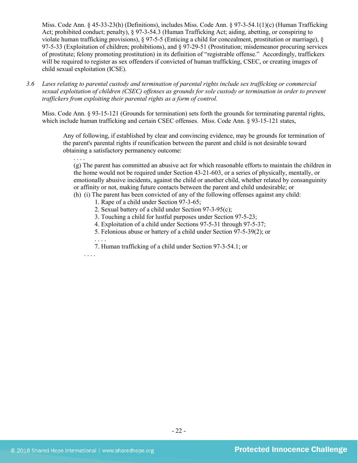Miss. Code Ann. § 45-33-23(h) (Definitions), includes Miss. Code Ann. § 97-3-54.1(1)(c) (Human Trafficking Act; prohibited conduct; penalty), § 97-3-54.3 (Human Trafficking Act; aiding, abetting, or conspiring to violate human trafficking provisions), § 97-5-5 (Enticing a child for concealment, prostitution or marriage), § 97-5-33 (Exploitation of children; prohibitions), and § 97-29-51 (Prostitution; misdemeanor procuring services of prostitute; felony promoting prostitution) in its definition of "registrable offense." Accordingly, traffickers will be required to register as sex offenders if convicted of human trafficking, CSEC, or creating images of child sexual exploitation (ICSE).

*3.6 Laws relating to parental custody and termination of parental rights include sex trafficking or commercial sexual exploitation of children (CSEC) offenses as grounds for sole custody or termination in order to prevent traffickers from exploiting their parental rights as a form of control.* 

Miss. Code Ann. § 93-15-121 (Grounds for termination) sets forth the grounds for terminating parental rights, which include human trafficking and certain CSEC offenses. Miss. Code Ann. § 93-15-121 states,

Any of following, if established by clear and convincing evidence, may be grounds for termination of the parent's parental rights if reunification between the parent and child is not desirable toward obtaining a satisfactory permanency outcome:

(g) The parent has committed an abusive act for which reasonable efforts to maintain the children in the home would not be required under Section 43-21-603, or a series of physically, mentally, or emotionally abusive incidents, against the child or another child, whether related by consanguinity or affinity or not, making future contacts between the parent and child undesirable; or (h) (i) The parent has been convicted of any of the following offenses against any child:

- 1. Rape of a child under Section 97-3-65;
- 2. Sexual battery of a child under Section 97-3-95(c);
- 3. Touching a child for lustful purposes under Section 97-5-23;
- 4. Exploitation of a child under Sections 97-5-31 through 97-5-37;
- 5. Felonious abuse or battery of a child under Section 97-5-39(2); or

7. Human trafficking of a child under Section 97-3-54.1; or

. . . .

. . . .

. . . .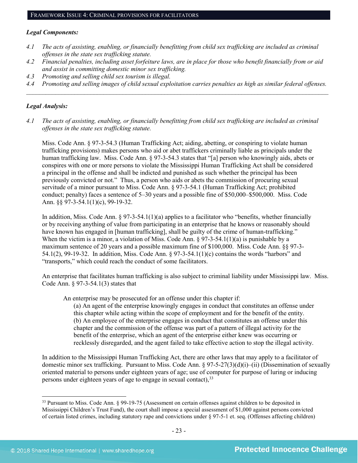#### FRAMEWORK ISSUE 4: CRIMINAL PROVISIONS FOR FACILITATORS

#### *Legal Components:*

- *4.1 The acts of assisting, enabling, or financially benefitting from child sex trafficking are included as criminal offenses in the state sex trafficking statute.*
- *4.2 Financial penalties, including asset forfeiture laws, are in place for those who benefit financially from or aid and assist in committing domestic minor sex trafficking.*
- *4.3 Promoting and selling child sex tourism is illegal.*
- *4.4 Promoting and selling images of child sexual exploitation carries penalties as high as similar federal offenses. \_\_\_\_\_\_\_\_\_\_\_\_\_\_\_\_\_\_\_\_\_\_\_\_\_\_\_\_\_\_\_\_\_\_\_\_\_\_\_\_\_\_\_\_\_\_\_\_\_\_\_\_\_\_\_\_\_\_\_\_\_\_\_\_\_\_\_\_\_\_\_\_\_\_\_\_\_\_\_\_\_\_\_\_\_\_\_\_\_\_\_\_\_\_*

# *Legal Analysis:*

*4.1 The acts of assisting, enabling, or financially benefitting from child sex trafficking are included as criminal offenses in the state sex trafficking statute.*

Miss. Code Ann. § 97-3-54.3 (Human Trafficking Act; aiding, abetting, or conspiring to violate human trafficking provisions) makes persons who aid or abet traffickers criminally liable as principals under the human trafficking law. Miss. Code Ann. § 97-3-54.3 states that "[a] person who knowingly aids, abets or conspires with one or more persons to violate the Mississippi Human Trafficking Act shall be considered a principal in the offense and shall be indicted and punished as such whether the principal has been previously convicted or not." Thus, a person who aids or abets the commission of procuring sexual servitude of a minor pursuant to Miss. Code Ann. § 97-3-54.1 (Human Trafficking Act; prohibited conduct; penalty) faces a sentence of 5–30 years and a possible fine of \$50,000–\$500,000. Miss. Code Ann. §§ 97-3-54.1(1)(c), 99-19-32.

In addition, Miss. Code Ann.  $\S 97-3-54.1(1)(a)$  applies to a facilitator who "benefits, whether financially or by receiving anything of value from participating in an enterprise that he knows or reasonably should have known has engaged in [human trafficking], shall be guilty of the crime of human-trafficking." When the victim is a minor, a violation of Miss. Code Ann.  $\S 97-3-54.1(1)(a)$  is punishable by a maximum sentence of 20 years and a possible maximum fine of \$100,000. Miss. Code Ann. §§ 97-3- 54.1(2), 99-19-32. In addition, Miss. Code Ann. § 97-3-54.1(1)(c) contains the words "harbors" and "transports," which could reach the conduct of some facilitators.

An enterprise that facilitates human trafficking is also subject to criminal liability under Mississippi law. Miss. Code Ann. § 97-3-54.1(3) states that

An enterprise may be prosecuted for an offense under this chapter if:

(a) An agent of the enterprise knowingly engages in conduct that constitutes an offense under this chapter while acting within the scope of employment and for the benefit of the entity. (b) An employee of the enterprise engages in conduct that constitutes an offense under this chapter and the commission of the offense was part of a pattern of illegal activity for the benefit of the enterprise, which an agent of the enterprise either knew was occurring or recklessly disregarded, and the agent failed to take effective action to stop the illegal activity.

In addition to the Mississippi Human Trafficking Act, there are other laws that may apply to a facilitator of domestic minor sex trafficking. Pursuant to Miss. Code Ann. § 97-5-27(3)(d)(i)–(ii) (Dissemination of sexually oriented material to persons under eighteen years of age; use of computer for purpose of luring or inducing persons under eighteen years of age to engage in sexual contact), [33](#page-22-0)

<span id="page-22-0"></span><sup>&</sup>lt;sup>33</sup> Pursuant to Miss. Code Ann. § 99-19-75 (Assessment on certain offenses against children to be deposited in Mississippi Children's Trust Fund), the court shall impose a special assessment of \$1,000 against persons convicted of certain listed crimes, including statutory rape and convictions under § 97-5-1 et. seq. (Offenses affecting children)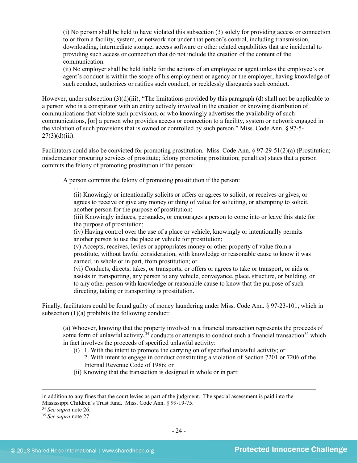(i) No person shall be held to have violated this subsection (3) solely for providing access or connection to or from a facility, system, or network not under that person's control, including transmission, downloading, intermediate storage, access software or other related capabilities that are incidental to providing such access or connection that do not include the creation of the content of the communication.

(ii) No employer shall be held liable for the actions of an employee or agent unless the employee's or agent's conduct is within the scope of his employment or agency or the employer, having knowledge of such conduct, authorizes or ratifies such conduct, or recklessly disregards such conduct.

However, under subsection  $(3)(d)(iii)$ , "The limitations provided by this paragraph (d) shall not be applicable to a person who is a conspirator with an entity actively involved in the creation or knowing distribution of communications that violate such provisions, or who knowingly advertises the availability of such communications, [or] a person who provides access or connection to a facility, system or network engaged in the violation of such provisions that is owned or controlled by such person." Miss. Code Ann. § 97-5-  $27(3)(d)(iii)$ .

Facilitators could also be convicted for promoting prostitution. Miss. Code Ann. § 97-29-51(2)(a) (Prostitution; misdemeanor procuring services of prostitute; felony promoting prostitution; penalties) states that a person commits the felony of promoting prostitution if the person:

A person commits the felony of promoting prostitution if the person:

. . . . (ii) Knowingly or intentionally solicits or offers or agrees to solicit, or receives or gives, or agrees to receive or give any money or thing of value for soliciting, or attempting to solicit, another person for the purpose of prostitution;

(iii) Knowingly induces, persuades, or encourages a person to come into or leave this state for the purpose of prostitution;

(iv) Having control over the use of a place or vehicle, knowingly or intentionally permits another person to use the place or vehicle for prostitution;

(v) Accepts, receives, levies or appropriates money or other property of value from a prostitute, without lawful consideration, with knowledge or reasonable cause to know it was earned, in whole or in part, from prostitution; or

(vi) Conducts, directs, takes, or transports, or offers or agrees to take or transport, or aids or assists in transporting, any person to any vehicle, conveyance, place, structure, or building, or to any other person with knowledge or reasonable cause to know that the purpose of such directing, taking or transporting is prostitution.

Finally, facilitators could be found guilty of money laundering under Miss. Code Ann. § 97-23-101, which in subsection (1)(a) prohibits the following conduct:

(a) Whoever, knowing that the property involved in a financial transaction represents the proceeds of some form of unlawful activity,  $34$  conducts or attempts to conduct such a financial transaction  $35$  which in fact involves the proceeds of specified unlawful activity:

- (i) 1. With the intent to promote the carrying on of specified unlawful activity; or
	- 2. With intent to engage in conduct constituting a violation of Section 7201 or 7206 of the Internal Revenue Code of 1986; or
- (ii) Knowing that the transaction is designed in whole or in part:

<span id="page-23-0"></span><sup>34</sup> *See supra* note [26.](#page-17-2)

 $\overline{a}$ 

in addition to any fines that the court levies as part of the judgment. The special assessment is paid into the Mississippi Children's Trust fund. Miss. Code Ann. § 99-19-75.

<span id="page-23-1"></span><sup>35</sup> *See supra* note [27.](#page-17-3)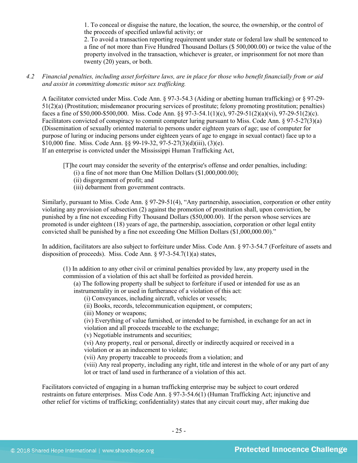1. To conceal or disguise the nature, the location, the source, the ownership, or the control of the proceeds of specified unlawful activity; or

2. To avoid a transaction reporting requirement under state or federal law shall be sentenced to a fine of not more than Five Hundred Thousand Dollars (\$ 500,000.00) or twice the value of the property involved in the transaction, whichever is greater, or imprisonment for not more than twenty (20) years, or both.

*4.2 Financial penalties, including asset forfeiture laws, are in place for those who benefit financially from or aid and assist in committing domestic minor sex trafficking.*

A facilitator convicted under Miss. Code Ann. § 97-3-54.3 (Aiding or abetting human trafficking) or § 97-29- 51(2)(a) (Prostitution; misdemeanor procuring services of prostitute; felony promoting prostitution; penalties) faces a fine of \$50,000-\$500,000. Miss. Code Ann. §§ 97-3-54.1(1)(c), 97-29-51(2)(a)(vi), 97-29-51(2)(c). Facilitators convicted of conspiracy to commit computer luring pursuant to Miss. Code Ann. § 97-5-27(3)(a) (Dissemination of sexually oriented material to persons under eighteen years of age; use of computer for purpose of luring or inducing persons under eighteen years of age to engage in sexual contact) face up to a \$10,000 fine. Miss. Code Ann. §§ 99-19-32, 97-5-27(3)(d)(iii), (3)(e).

If an enterprise is convicted under the Mississippi Human Trafficking Act,

[T]he court may consider the severity of the enterprise's offense and order penalties, including:

- (i) a fine of not more than One Million Dollars  $(\$1,000,000,00)$ ;
- (ii) disgorgement of profit; and
- (iii) debarment from government contracts.

Similarly, pursuant to Miss. Code Ann. § 97-29-51(4), "Any partnership, association, corporation or other entity violating any provision of subsection (2) against the promotion of prostitution shall, upon conviction, be punished by a fine not exceeding Fifty Thousand Dollars (\$50,000.00). If the person whose services are promoted is under eighteen (18) years of age, the partnership, association, corporation or other legal entity convicted shall be punished by a fine not exceeding One Million Dollars (\$1,000,000.00)."

In addition, facilitators are also subject to forfeiture under Miss. Code Ann. § 97-3-54.7 (Forfeiture of assets and disposition of proceeds). Miss. Code Ann. § 97-3-54.7(1)(a) states,

(1) In addition to any other civil or criminal penalties provided by law, any property used in the commission of a violation of this act shall be forfeited as provided herein.

(a) The following property shall be subject to forfeiture if used or intended for use as an instrumentality in or used in furtherance of a violation of this act:

(i) Conveyances, including aircraft, vehicles or vessels;

(ii) Books, records, telecommunication equipment, or computers;

(iii) Money or weapons;

(iv) Everything of value furnished, or intended to be furnished, in exchange for an act in violation and all proceeds traceable to the exchange;

(v) Negotiable instruments and securities;

(vi) Any property, real or personal, directly or indirectly acquired or received in a violation or as an inducement to violate;

(vii) Any property traceable to proceeds from a violation; and

(viii) Any real property, including any right, title and interest in the whole of or any part of any lot or tract of land used in furtherance of a violation of this act.

Facilitators convicted of engaging in a human trafficking enterprise may be subject to court ordered restraints on future enterprises. Miss Code Ann. § 97-3-54.6(1) (Human Trafficking Act; injunctive and other relief for victims of trafficking; confidentiality) states that any circuit court may, after making due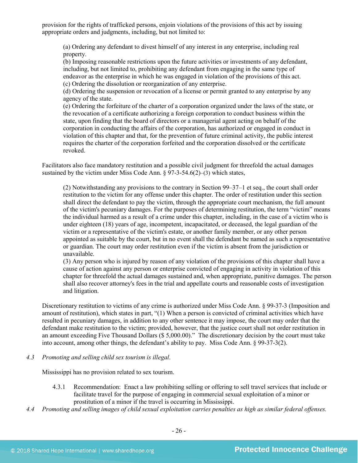provision for the rights of trafficked persons, enjoin violations of the provisions of this act by issuing appropriate orders and judgments, including, but not limited to:

(a) Ordering any defendant to divest himself of any interest in any enterprise, including real property.

(b) Imposing reasonable restrictions upon the future activities or investments of any defendant, including, but not limited to, prohibiting any defendant from engaging in the same type of endeavor as the enterprise in which he was engaged in violation of the provisions of this act. (c) Ordering the dissolution or reorganization of any enterprise.

(d) Ordering the suspension or revocation of a license or permit granted to any enterprise by any agency of the state.

(e) Ordering the forfeiture of the charter of a corporation organized under the laws of the state, or the revocation of a certificate authorizing a foreign corporation to conduct business within the state, upon finding that the board of directors or a managerial agent acting on behalf of the corporation in conducting the affairs of the corporation, has authorized or engaged in conduct in violation of this chapter and that, for the prevention of future criminal activity, the public interest requires the charter of the corporation forfeited and the corporation dissolved or the certificate revoked.

Facilitators also face mandatory restitution and a possible civil judgment for threefold the actual damages sustained by the victim under Miss Code Ann. § 97-3-54.6(2)–(3) which states,

(2) Notwithstanding any provisions to the contrary in Section 99–37–1 et seq., the court shall order restitution to the victim for any offense under this chapter. The order of restitution under this section shall direct the defendant to pay the victim, through the appropriate court mechanism, the full amount of the victim's pecuniary damages. For the purposes of determining restitution, the term "victim" means the individual harmed as a result of a crime under this chapter, including, in the case of a victim who is under eighteen (18) years of age, incompetent, incapacitated, or deceased, the legal guardian of the victim or a representative of the victim's estate, or another family member, or any other person appointed as suitable by the court, but in no event shall the defendant be named as such a representative or guardian. The court may order restitution even if the victim is absent from the jurisdiction or unavailable.

(3) Any person who is injured by reason of any violation of the provisions of this chapter shall have a cause of action against any person or enterprise convicted of engaging in activity in violation of this chapter for threefold the actual damages sustained and, when appropriate, punitive damages. The person shall also recover attorney's fees in the trial and appellate courts and reasonable costs of investigation and litigation.

Discretionary restitution to victims of any crime is authorized under Miss Code Ann. § 99-37-3 (Imposition and amount of restitution), which states in part, "(1) When a person is convicted of criminal activities which have resulted in pecuniary damages, in addition to any other sentence it may impose, the court may order that the defendant make restitution to the victim; provided, however, that the justice court shall not order restitution in an amount exceeding Five Thousand Dollars (\$ 5,000.00)." The discretionary decision by the court must take into account, among other things, the defendant's ability to pay. Miss Code Ann. § 99-37-3(2).

*4.3 Promoting and selling child sex tourism is illegal*.

Mississippi has no provision related to sex tourism.

- 4.3.1 Recommendation: Enact a law prohibiting selling or offering to sell travel services that include or facilitate travel for the purpose of engaging in commercial sexual exploitation of a minor or prostitution of a minor if the travel is occurring in Mississippi.
- *4.4 Promoting and selling images of child sexual exploitation carries penalties as high as similar federal offenses.*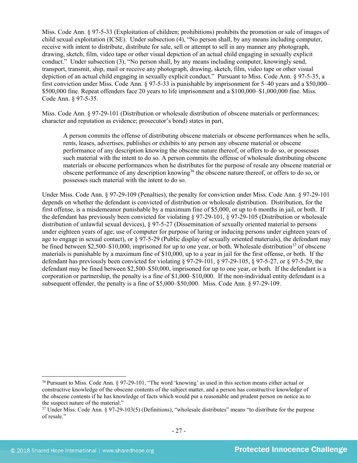Miss. Code Ann. § 97-5-33 (Exploitation of children; prohibitions) prohibits the promotion or sale of images of child sexual exploitation (ICSE). Under subsection (4), "No person shall, by any means including computer, receive with intent to distribute, distribute for sale, sell or attempt to sell in any manner any photograph, drawing, sketch, film, video tape or other visual depiction of an actual child engaging in sexually explicit conduct." Under subsection (3), "No person shall, by any means including computer, knowingly send, transport, transmit, ship, mail or receive any photograph, drawing, sketch, film, video tape or other visual depiction of an actual child engaging in sexually explicit conduct." Pursuant to Miss. Code Ann. § 97-5-35, a first conviction under Miss. Code Ann. § 97-5-33 is punishable by imprisonment for 5–40 years and a \$50,000– \$500,000 fine. Repeat offenders face 20 years to life imprisonment and a \$100,000–\$1,000,000 fine. Miss. Code Ann. § 97-5-35.

Miss. Code Ann. § 97-29-101 (Distribution or wholesale distribution of obscene materials or performances; character and reputation as evidence; prosecutor's bond) states in part,

A person commits the offense of distributing obscene materials or obscene performances when he sells, rents, leases, advertises, publishes or exhibits to any person any obscene material or obscene performance of any description knowing the obscene nature thereof, or offers to do so, or possesses such material with the intent to do so. A person commits the offense of wholesale distributing obscene materials or obscene performances when he distributes for the purpose of resale any obscene material or obscene performance of any description knowing<sup>[36](#page-26-0)</sup> the obscene nature thereof, or offers to do so, or possesses such material with the intent to do so.

Under Miss. Code Ann. § 97-29-109 (Penalties), the penalty for conviction under Miss. Code Ann. § 97-29-101 depends on whether the defendant is convicted of distribution or wholesale distribution. Distribution, for the first offense, is a misdemeanor punishable by a maximum fine of \$5,000, or up to 6 months in jail, or both. If the defendant has previously been convicted for violating § 97-29-101, § 97-29-105 (Distribution or wholesale distribution of unlawful sexual devices), § 97-5-27 (Dissemination of sexually oriented material to persons under eighteen years of age; use of computer for purpose of luring or inducing persons under eighteen years of age to engage in sexual contact), or  $\S 97-5-29$  (Public display of sexually oriented materials), the defendant may be fined between  $$2,500–$10,000$ , imprisoned for up to one year, or both. Wholesale distribution<sup>[37](#page-26-1)</sup> of obscene materials is punishable by a maximum fine of \$10,000, up to a year in jail for the first offense, or both. If the defendant has previously been convicted for violating § 97-29-101, § 97-29-105, § 97-5-27, or § 97-5-29, the defendant may be fined between \$2,500–\$50,000, imprisoned for up to one year, or both. If the defendant is a corporation or partnership, the penalty is a fine of \$1,000–\$10,000. If the non-individual entity defendant is a subsequent offender, the penalty is a fine of \$5,000–\$50,000. Miss. Code Ann. § 97-29-109.

<span id="page-26-0"></span> <sup>36</sup> Pursuant to Miss. Code Ann. § 97-29-101, "The word 'knowing' as used in this section means either actual or constructive knowledge of the obscene contents of the subject matter, and a person has constructive knowledge of the obscene contents if he has knowledge of facts which would put a reasonable and prudent person on notice as to the suspect nature of the material."

<span id="page-26-1"></span><sup>37</sup> Under Miss. Code Ann. § 97-29-103(5) (Definitions), "wholesale distributes" means "to distribute for the purpose of resale."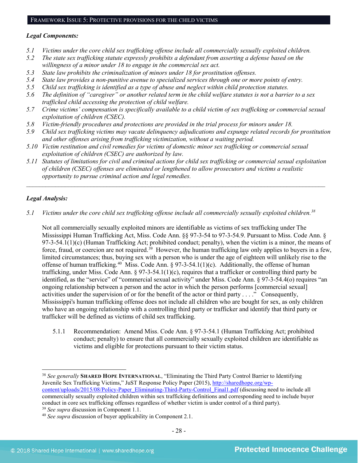#### *Legal Components:*

- *5.1 Victims under the core child sex trafficking offense include all commercially sexually exploited children.*
- *5.2 The state sex trafficking statute expressly prohibits a defendant from asserting a defense based on the willingness of a minor under 18 to engage in the commercial sex act.*
- *5.3 State law prohibits the criminalization of minors under 18 for prostitution offenses.*
- *5.4 State law provides a non-punitive avenue to specialized services through one or more points of entry.*
- *5.5 Child sex trafficking is identified as a type of abuse and neglect within child protection statutes.*
- *5.6 The definition of "caregiver" or another related term in the child welfare statutes is not a barrier to a sex trafficked child accessing the protection of child welfare.*
- *5.7 Crime victims' compensation is specifically available to a child victim of sex trafficking or commercial sexual exploitation of children (CSEC).*
- *5.8 Victim-friendly procedures and protections are provided in the trial process for minors under 18.*
- *5.9 Child sex trafficking victims may vacate delinquency adjudications and expunge related records for prostitution and other offenses arising from trafficking victimization, without a waiting period.*
- *5.10 Victim restitution and civil remedies for victims of domestic minor sex trafficking or commercial sexual exploitation of children (CSEC) are authorized by law.*
- *5.11 Statutes of limitations for civil and criminal actions for child sex trafficking or commercial sexual exploitation of children (CSEC) offenses are eliminated or lengthened to allow prosecutors and victims a realistic opportunity to pursue criminal action and legal remedies.*

*\_\_\_\_\_\_\_\_\_\_\_\_\_\_\_\_\_\_\_\_\_\_\_\_\_\_\_\_\_\_\_\_\_\_\_\_\_\_\_\_\_\_\_\_\_\_\_\_\_\_\_\_\_\_\_\_\_\_\_\_\_\_\_\_\_\_\_\_\_\_\_\_\_\_\_\_\_\_\_\_\_\_\_\_\_\_\_\_\_\_\_\_\_*

# *Legal Analysis:*

*5.1 Victims under the core child sex trafficking offense include all commercially sexually exploited children.[38](#page-27-0)*

Not all commercially sexually exploited minors are identifiable as victims of sex trafficking under The Mississippi Human Trafficking Act, Miss. Code Ann. §§ 97-3-54 to 97-3-54.9. Pursuant to Miss. Code Ann. § 97-3-54.1(1)(c) (Human Trafficking Act; prohibited conduct; penalty), when the victim is a minor, the means of force, fraud, or coercion are not required.<sup>[39](#page-27-1)</sup> However, the human trafficking law only applies to buyers in a few, limited circumstances; thus, buying sex with a person who is under the age of eighteen will unlikely rise to the offense of human trafficking.<sup>[40](#page-27-2)</sup> Miss. Code Ann. § 97-3-54.1(1)(c). Additionally, the offense of human trafficking, under Miss. Code Ann. § 97-3-54.1(1)(c), requires that a trafficker or controlling third party be identified, as the "service" of "commercial sexual activity" under Miss. Code Ann. § 97-3-54.4(o) requires "an ongoing relationship between a person and the actor in which the person performs [commercial sexual] activities under the supervision of or for the benefit of the actor or third party . . . ." Consequently, Mississippi's human trafficking offense does not include all children who are bought for sex, as only children who have an ongoing relationship with a controlling third party or trafficker and identify that third party or trafficker will be defined as victims of child sex trafficking.

5.1.1 Recommendation: Amend Miss. Code Ann. § 97-3-54.1 (Human Trafficking Act; prohibited conduct; penalty) to ensure that all commercially sexually exploited children are identifiable as victims and eligible for protections pursuant to their victim status.

<span id="page-27-0"></span> <sup>38</sup> *See generally* **SHARED HOPE INTERNATIONAL**, "Eliminating the Third Party Control Barrier to Identifying Juvenile Sex Trafficking Victims," JuST Response Policy Paper (2015), [http://sharedhope.org/wp](http://sharedhope.org/wp-content/uploads/2015/08/Policy-Paper_Eliminating-Third-Party-Control_Final1.pdf)[content/uploads/2015/08/Policy-Paper\\_Eliminating-Third-Party-Control\\_Final1.pdf](http://sharedhope.org/wp-content/uploads/2015/08/Policy-Paper_Eliminating-Third-Party-Control_Final1.pdf) (discussing need to include all commercially sexually exploited children within sex trafficking definitions and corresponding need to include buyer conduct in core sex trafficking offenses regardless of whether victim is under control of a third party). <sup>39</sup> *See supra* discussion in Component 1.1.

<span id="page-27-2"></span><span id="page-27-1"></span><sup>40</sup> *See supra* discussion of buyer applicability in Component 2.1.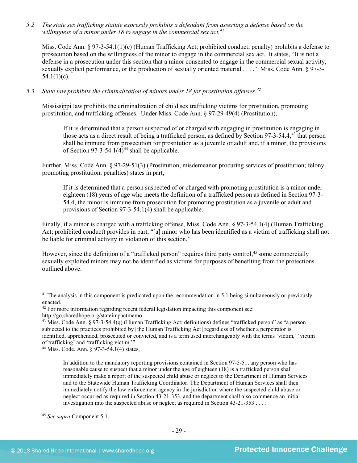*5.2 The state sex trafficking statute expressly prohibits a defendant from asserting a defense based on the willingness of a minor under 18 to engage in the commercial sex act.[41](#page-28-0)*

Miss. Code Ann. § 97-3-54.1(1)(c) (Human Trafficking Act; prohibited conduct; penalty) prohibits a defense to prosecution based on the willingness of the minor to engage in the commercial sex act. It states, "It is not a defense in a prosecution under this section that a minor consented to engage in the commercial sexual activity, sexually explicit performance, or the production of sexually oriented material . . . ." Miss. Code Ann. § 97-3-  $54.1(1)(c)$ .

# *5.3 State law prohibits the criminalization of minors under 18 for prostitution offenses.[42](#page-28-1)*

Mississippi law prohibits the criminalization of child sex trafficking victims for prostitution, promoting prostitution, and trafficking offenses. Under Miss. Code Ann. § 97-29-49(4) (Prostitution),

If it is determined that a person suspected of or charged with engaging in prostitution is engaging in those acts as a direct result of being a trafficked person, as defined by Section 97-3-54.4,[43](#page-28-2) that person shall be immune from prosecution for prostitution as a juvenile or adult and, if a minor, the provisions of Section 97-3-54.1(4)<sup>[44](#page-28-3)</sup> shall be applicable.

Further, Miss. Code Ann. § 97-29-51(3) (Prostitution; misdemeanor procuring services of prostitution; felony promoting prostitution; penalties) states in part,

If it is determined that a person suspected of or charged with promoting prostitution is a minor under eighteen (18) years of age who meets the definition of a trafficked person as defined in Section 97-3- 54.4, the minor is immune from prosecution for promoting prostitution as a juvenile or adult and provisions of Section 97-3-54.1(4) shall be applicable.

Finally, if a minor is charged with a trafficking offense, Miss. Code Ann. § 97-3-54.1(4) (Human Trafficking Act; prohibited conduct) provides in part, "[a] minor who has been identified as a victim of trafficking shall not be liable for criminal activity in violation of this section."

However, since the definition of a "trafficked person" requires third party control,<sup>[45](#page-28-4)</sup> some commercially sexually exploited minors may not be identified as victims for purposes of benefiting from the protections outlined above.

<span id="page-28-0"></span><sup>&</sup>lt;sup>41</sup> The analysis in this component is predicated upon the recommendation in 5.1 being simultaneously or previously enacted.

<span id="page-28-1"></span> $42$  For more information regarding recent federal legislation impacting this component see: http://go.sharedhope.org/stateimpactmemo.

<span id="page-28-2"></span><sup>&</sup>lt;sup>43</sup> Miss. Code Ann.  $\S 97-3-54.4(q)$  (Human Trafficking Act; definitions) defines "trafficked person" as "a person" subjected to the practices prohibited by [the Human Trafficking Act] regardless of whether a perpetrator is identified, apprehended, prosecuted or convicted, and is a term used interchangeably with the terms 'victim,' 'victim of trafficking' and 'trafficking victim.'"

<span id="page-28-3"></span><sup>44</sup> Miss. Code. Ann. § 97-3-54.1(4) states,

In addition to the mandatory reporting provisions contained in Section 97-5-51, any person who has reasonable cause to suspect that a minor under the age of eighteen (18) is a trafficked person shall immediately make a report of the suspected child abuse or neglect to the Department of Human Services and to the Statewide Human Trafficking Coordinator. The Department of Human Services shall then immediately notify the law enforcement agency in the jurisdiction where the suspected child abuse or neglect occurred as required in Section 43-21-353, and the department shall also commence an initial investigation into the suspected abuse or neglect as required in Section 43-21-353 . . . .

<span id="page-28-4"></span><sup>45</sup> *See supra* Component 5.1.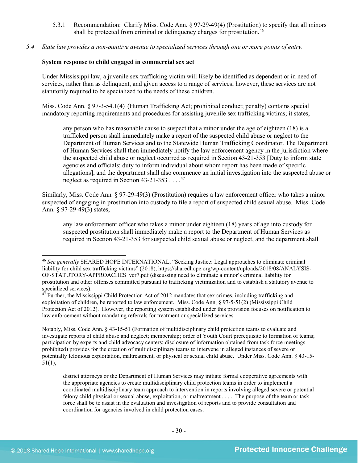- 5.3.1 Recommendation: Clarify Miss. Code Ann. § 97-29-49(4) (Prostitution) to specify that all minors shall be protected from criminal or delinquency charges for prostitution.<sup>[46](#page-29-0)</sup>
- *5.4 State law provides a non-punitive avenue to specialized services through one or more points of entry.*

#### **System response to child engaged in commercial sex act**

Under Mississippi law, a juvenile sex trafficking victim will likely be identified as dependent or in need of services, rather than as delinquent, and given access to a range of services; however, these services are not statutorily required to be specialized to the needs of these children.

Miss. Code Ann. § 97-3-54.1(4) (Human Trafficking Act; prohibited conduct; penalty) contains special mandatory reporting requirements and procedures for assisting juvenile sex trafficking victims; it states,

any person who has reasonable cause to suspect that a minor under the age of eighteen (18) is a trafficked person shall immediately make a report of the suspected child abuse or neglect to the Department of Human Services and to the Statewide Human Trafficking Coordinator. The Department of Human Services shall then immediately notify the law enforcement agency in the jurisdiction where the suspected child abuse or neglect occurred as required in Section 43-21-353 [Duty to inform state agencies and officials; duty to inform individual about whom report has been made of specific allegations], and the department shall also commence an initial investigation into the suspected abuse or neglect as required in Section 43-21-353  $\dots$ .<sup>[47](#page-29-1)</sup>

Similarly, Miss. Code Ann. § 97-29-49(3) (Prostitution) requires a law enforcement officer who takes a minor suspected of engaging in prostitution into custody to file a report of suspected child sexual abuse. Miss. Code Ann. § 97-29-49(3) states,

any law enforcement officer who takes a minor under eighteen (18) years of age into custody for suspected prostitution shall immediately make a report to the Department of Human Services as required in Section 43-21-353 for suspected child sexual abuse or neglect, and the department shall

Notably, Miss. Code Ann. § 43-15-51 (Formation of multidisciplinary child protection teams to evaluate and investigate reports of child abuse and neglect; membership; order of Youth Court prerequisite to formation of teams; participation by experts and child advocacy centers; disclosure of information obtained from task force meetings prohibited) provides for the creation of multidisciplinary teams to intervene in alleged instances of severe or potentially felonious exploitation, maltreatment, or physical or sexual child abuse. Under Miss. Code Ann. § 43-15- 51(1),

district attorneys or the Department of Human Services may initiate formal cooperative agreements with the appropriate agencies to create multidisciplinary child protection teams in order to implement a coordinated multidisciplinary team approach to intervention in reports involving alleged severe or potential felony child physical or sexual abuse, exploitation, or maltreatment . . . . The purpose of the team or task force shall be to assist in the evaluation and investigation of reports and to provide consultation and coordination for agencies involved in child protection cases.

<span id="page-29-0"></span> <sup>46</sup> *See generally* SHARED HOPE INTERNATIONAL, "Seeking Justice: Legal approaches to eliminate criminal liability for child sex trafficking victims" (2018), https://sharedhope.org/wp-content/uploads/2018/08/ANALYSIS-OF-STATUTORY-APPROACHES\_ver7.pdf (discussing need to eliminate a minor's criminal liability for prostitution and other offenses committed pursuant to trafficking victimization and to establish a statutory avenue to specialized services).

<span id="page-29-1"></span><sup>47</sup> Further, the Mississippi Child Protection Act of 2012 mandates that sex crimes, including trafficking and exploitation of children, be reported to law enforcement. Miss. Code Ann, § 97-5-51(2) (Mississippi Child Protection Act of 2012). However, the reporting system established under this provision focuses on notification to law enforcement without mandating referrals for treatment or specialized services.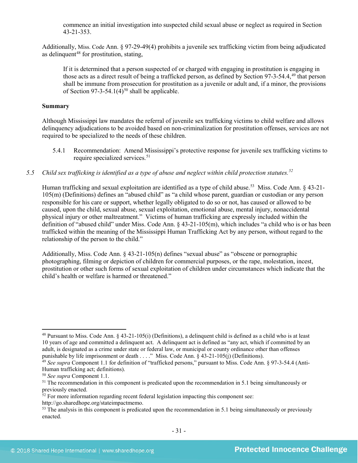commence an initial investigation into suspected child sexual abuse or neglect as required in Section 43-21-353.

Additionally, Miss. Code Ann. § 97-29-49(4) prohibits a juvenile sex trafficking victim from being adjudicated as delinquent<sup>[48](#page-30-0)</sup> for prostitution, stating,

If it is determined that a person suspected of or charged with engaging in prostitution is engaging in those acts as a direct result of being a trafficked person, as defined by Section 97-3-54.4,<sup>[49](#page-30-1)</sup> that person shall be immune from prosecution for prostitution as a juvenile or adult and, if a minor, the provisions of Section 97-3-54.1(4)<sup>[50](#page-30-2)</sup> shall be applicable.

#### **Summary**

Although Mississippi law mandates the referral of juvenile sex trafficking victims to child welfare and allows delinquency adjudications to be avoided based on non-criminalization for prostitution offenses, services are not required to be specialized to the needs of these children.

- 5.4.1 Recommendation: Amend Mississippi's protective response for juvenile sex trafficking victims to require specialized services. [51](#page-30-3)
- *5.5 Child sex trafficking is identified as a type of abuse and neglect within child protection statutes.[52](#page-30-4)*

Human trafficking and sexual exploitation are identified as a type of child abuse.<sup>[53](#page-30-5)</sup> Miss. Code Ann. § 43-21-105(m) (Definitions) defines an "abused child" as "a child whose parent, guardian or custodian or any person responsible for his care or support, whether legally obligated to do so or not, has caused or allowed to be caused, upon the child, sexual abuse, sexual exploitation, emotional abuse, mental injury, nonaccidental physical injury or other maltreatment." Victims of human trafficking are expressly included within the definition of "abused child" under Miss. Code Ann. § 43-21-105(m), which includes "a child who is or has been trafficked within the meaning of the Mississippi Human Trafficking Act by any person, without regard to the relationship of the person to the child."

Additionally, Miss. Code Ann. § 43-21-105(n) defines "sexual abuse" as "obscene or pornographic photographing, filming or depiction of children for commercial purposes, or the rape, molestation, incest, prostitution or other such forms of sexual exploitation of children under circumstances which indicate that the child's health or welfare is harmed or threatened."

http://go.sharedhope.org/stateimpactmemo.

<span id="page-30-0"></span> <sup>48</sup> Pursuant to Miss. Code Ann. § 43-21-105(i) (Definitions), a delinquent child is defined as a child who is at least 10 years of age and committed a delinquent act. A delinquent act is defined as "any act, which if committed by an adult, is designated as a crime under state or federal law, or municipal or county ordinance other than offenses punishable by life imprisonment or death . . . ." Miss. Code Ann.  $\S$  43-21-105(j) (Definitions).

<span id="page-30-1"></span><sup>&</sup>lt;sup>49</sup> See supra Component 1.1 for definition of "trafficked persons," pursuant to Miss. Code Ann. § 97-3-54.4 (Anti-Human trafficking act; definitions).

<span id="page-30-2"></span><sup>50</sup> *See supra* Component 1.1.

<span id="page-30-3"></span><sup>&</sup>lt;sup>51</sup> The recommendation in this component is predicated upon the recommendation in 5.1 being simultaneously or previously enacted.

<span id="page-30-4"></span> $52$  For more information regarding recent federal legislation impacting this component see:

<span id="page-30-5"></span> $53$  The analysis in this component is predicated upon the recommendation in 5.1 being simultaneously or previously enacted.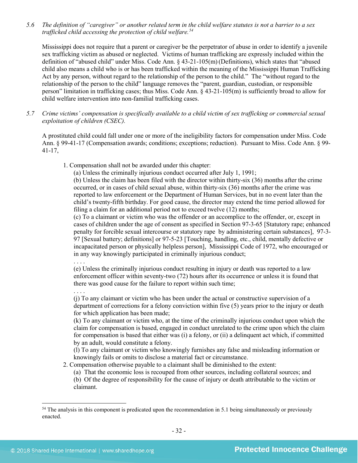*5.6 The definition of "caregiver" or another related term in the child welfare statutes is not a barrier to a sex trafficked child accessing the protection of child welfare.[54](#page-31-0)*

Mississippi does not require that a parent or caregiver be the perpetrator of abuse in order to identify a juvenile sex trafficking victim as abused or neglected. Victims of human trafficking are expressly included within the definition of "abused child" under Miss. Code Ann. § 43-21-105(m) (Definitions), which states that "abused child also means a child who is or has been trafficked within the meaning of the Mississippi Human Trafficking Act by any person, without regard to the relationship of the person to the child." The "without regard to the relationship of the person to the child" language removes the "parent, guardian, custodian, or responsible person" limitation in trafficking cases; thus Miss. Code Ann. § 43-21-105(m) is sufficiently broad to allow for child welfare intervention into non-familial trafficking cases.

*5.7 Crime victims' compensation is specifically available to a child victim of sex trafficking or commercial sexual exploitation of children (CSEC).*

A prostituted child could fall under one or more of the ineligibility factors for compensation under Miss. Code Ann. § 99-41-17 (Compensation awards; conditions; exceptions; reduction). Pursuant to Miss. Code Ann. § 99- 41-17,

1. Compensation shall not be awarded under this chapter:

(a) Unless the criminally injurious conduct occurred after July 1, 1991;

(b) Unless the claim has been filed with the director within thirty-six (36) months after the crime occurred, or in cases of child sexual abuse, within thirty-six (36) months after the crime was reported to law enforcement or the Department of Human Services, but in no event later than the child's twenty-fifth birthday. For good cause, the director may extend the time period allowed for filing a claim for an additional period not to exceed twelve (12) months;

(c) To a claimant or victim who was the offender or an accomplice to the offender, or, except in cases of children under the age of consent as specified in Section 97-3-65 [Statutory rape; enhanced penalty for forcible sexual intercourse or statutory rape by administering certain substances], 97-3- 97 [Sexual battery; definitions] or 97-5-23 [Touching, handling, etc., child, mentally defective or incapacitated person or physically helpless person], Mississippi Code of 1972, who encouraged or in any way knowingly participated in criminally injurious conduct;

. . . .

(e) Unless the criminally injurious conduct resulting in injury or death was reported to a law enforcement officer within seventy-two (72) hours after its occurrence or unless it is found that there was good cause for the failure to report within such time;

. . . . (j) To any claimant or victim who has been under the actual or constructive supervision of a department of corrections for a felony conviction within five (5) years prior to the injury or death for which application has been made:

(k) To any claimant or victim who, at the time of the criminally injurious conduct upon which the claim for compensation is based, engaged in conduct unrelated to the crime upon which the claim for compensation is based that either was (i) a felony, or (ii) a delinquent act which, if committed by an adult, would constitute a felony.

(l) To any claimant or victim who knowingly furnishes any false and misleading information or knowingly fails or omits to disclose a material fact or circumstance.

2. Compensation otherwise payable to a claimant shall be diminished to the extent:

(a) That the economic loss is recouped from other sources, including collateral sources; and (b) Of the degree of responsibility for the cause of injury or death attributable to the victim or claimant.

<span id="page-31-0"></span><sup>&</sup>lt;sup>54</sup> The analysis in this component is predicated upon the recommendation in 5.1 being simultaneously or previously enacted.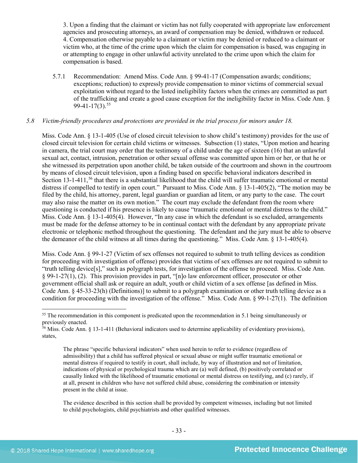3. Upon a finding that the claimant or victim has not fully cooperated with appropriate law enforcement agencies and prosecuting attorneys, an award of compensation may be denied, withdrawn or reduced. 4. Compensation otherwise payable to a claimant or victim may be denied or reduced to a claimant or victim who, at the time of the crime upon which the claim for compensation is based, was engaging in or attempting to engage in other unlawful activity unrelated to the crime upon which the claim for compensation is based.

5.7.1 Recommendation: Amend Miss. Code Ann. § 99-41-17 (Compensation awards; conditions; exceptions; reduction) to expressly provide compensation to minor victims of commercial sexual exploitation without regard to the listed ineligibility factors when the crimes are committed as part of the trafficking and create a good cause exception for the ineligibility factor in Miss. Code Ann. §  $99-41-17(3)$ .<sup>[55](#page-32-0)</sup>

# *5.8 Victim-friendly procedures and protections are provided in the trial process for minors under 18.*

Miss. Code Ann. § 13-1-405 (Use of closed circuit television to show child's testimony) provides for the use of closed circuit television for certain child victims or witnesses. Subsection (1) states, "Upon motion and hearing in camera, the trial court may order that the testimony of a child under the age of sixteen (16) that an unlawful sexual act, contact, intrusion, penetration or other sexual offense was committed upon him or her, or that he or she witnessed its perpetration upon another child, be taken outside of the courtroom and shown in the courtroom by means of closed circuit television, upon a finding based on specific behavioral indicators described in Section 13-1-411,<sup>[56](#page-32-1)</sup> that there is a substantial likelihood that the child will suffer traumatic emotional or mental distress if compelled to testify in open court." Pursuant to Miss. Code Ann. § 13-1-405(2), "The motion may be filed by the child, his attorney, parent, legal guardian or guardian ad litem, or any party to the case. The court may also raise the matter on its own motion." The court may exclude the defendant from the room where questioning is conducted if his presence is likely to cause "traumatic emotional or mental distress to the child." Miss. Code Ann. § 13-1-405(4). However, "In any case in which the defendant is so excluded, arrangements must be made for the defense attorney to be in continual contact with the defendant by any appropriate private electronic or telephonic method throughout the questioning. The defendant and the jury must be able to observe the demeanor of the child witness at all times during the questioning." Miss. Code Ann. § 13-1-405(4).

Miss. Code Ann. § 99-1-27 (Victim of sex offenses not required to submit to truth telling devices as condition for proceeding with investigation of offense) provides that victims of sex offenses are not required to submit to "truth telling device[s]," such as polygraph tests, for investigation of the offense to proceed. Miss. Code Ann. § 99-1-27(1), (2). This provision provides in part, "[n]o law enforcement officer, prosecutor or other government official shall ask or require an adult, youth or child victim of a sex offense [as defined in Miss. Code Ann. § 45-33-23(h) (Definitions)] to submit to a polygraph examination or other truth telling device as a condition for proceeding with the investigation of the offense." Miss. Code Ann. § 99-1-27(1). The definition

The evidence described in this section shall be provided by competent witnesses, including but not limited to child psychologists, child psychiatrists and other qualified witnesses.

<span id="page-32-0"></span><sup>&</sup>lt;sup>55</sup> The recommendation in this component is predicated upon the recommendation in 5.1 being simultaneously or previously enacted.

<span id="page-32-1"></span> $56$  Miss. Code Ann. § 13-1-411 (Behavioral indicators used to determine applicability of evidentiary provisions), states,

The phrase "specific behavioral indicators" when used herein to refer to evidence (regardless of admissibility) that a child has suffered physical or sexual abuse or might suffer traumatic emotional or mental distress if required to testify in court, shall include, by way of illustration and not of limitation, indications of physical or psychological trauma which are (a) well defined, (b) positively correlated or causally linked with the likelihood of traumatic emotional or mental distress on testifying, and (c) rarely, if at all, present in children who have not suffered child abuse, considering the combination or intensity present in the child at issue.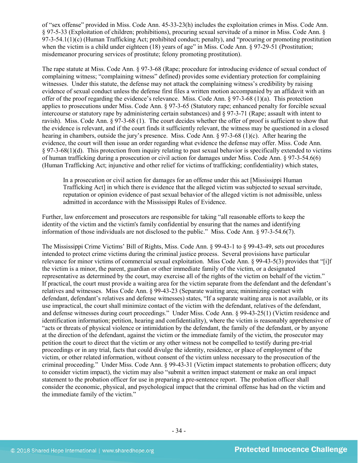of "sex offense" provided in Miss. Code Ann. 45-33-23(h) includes the exploitation crimes in Miss. Code Ann. § 97-5-33 (Exploitation of children; prohibitions), procuring sexual servitude of a minor in Miss. Code Ann. § 97-3-54.1(1)(c) (Human Trafficking Act; prohibited conduct; penalty), and "procuring or promoting prostitution when the victim is a child under eighteen (18) years of age" in Miss. Code Ann. § 97-29-51 (Prostitution; misdemeanor procuring services of prostitute; felony promoting prostitution).

The rape statute at Miss. Code Ann. § 97-3-68 (Rape; procedure for introducing evidence of sexual conduct of complaining witness; "complaining witness" defined) provides some evidentiary protection for complaining witnesses. Under this statute, the defense may not attack the complaining witness's credibility by raising evidence of sexual conduct unless the defense first files a written motion accompanied by an affidavit with an offer of the proof regarding the evidence's relevance. Miss. Code Ann. § 97-3-68 (1)(a). This protection applies to prosecutions under Miss. Code Ann. § 97-3-65 (Statutory rape; enhanced penalty for forcible sexual intercourse or statutory rape by administering certain substances) and § 97-3-71 (Rape; assault with intent to ravish). Miss. Code Ann. § 97-3-68 (1). The court decides whether the offer of proof is sufficient to show that the evidence is relevant, and if the court finds it sufficiently relevant, the witness may be questioned in a closed hearing in chambers, outside the jury's presence. Miss. Code Ann. § 97-3-68 (1)(c). After hearing the evidence, the court will then issue an order regarding what evidence the defense may offer. Miss. Code Ann. § 97-3-68(1)(d). This protection from inquiry relating to past sexual behavior is specifically extended to victims of human trafficking during a prosecution or civil action for damages under Miss. Code Ann. § 97-3-54.6(6) (Human Trafficking Act; injunctive and other relief for victims of trafficking; confidentiality) which states,

In a prosecution or civil action for damages for an offense under this act [Mississippi Human Trafficking Act] in which there is evidence that the alleged victim was subjected to sexual servitude, reputation or opinion evidence of past sexual behavior of the alleged victim is not admissible, unless admitted in accordance with the Mississippi Rules of Evidence.

Further, law enforcement and prosecutors are responsible for taking "all reasonable efforts to keep the identity of the victim and the victim's family confidential by ensuring that the names and identifying information of those individuals are not disclosed to the public." Miss. Code Ann. § 97-3-54.6(7).

The Mississippi Crime Victims' Bill of Rights, Miss. Code Ann. § 99-43-1 to § 99-43-49, sets out procedures intended to protect crime victims during the criminal justice process. Several provisions have particular relevance for minor victims of commercial sexual exploitation. Miss Code Ann. § 99-43-5(3) provides that "[i]f the victim is a minor, the parent, guardian or other immediate family of the victim, or a designated representative as determined by the court, may exercise all of the rights of the victim on behalf of the victim." If practical, the court must provide a waiting area for the victim separate from the defendant and the defendant's relatives and witnesses. Miss Code Ann. § 99-43-23 (Separate waiting area; minimizing contact with defendant, defendant's relatives and defense witnesses) states, "If a separate waiting area is not available, or its use impractical, the court shall minimize contact of the victim with the defendant, relatives of the defendant, and defense witnesses during court proceedings." Under Miss. Code Ann. § 99-43-25(1) (Victim residence and identification information; petition, hearing and confidentiality), where the victim is reasonably apprehensive of "acts or threats of physical violence or intimidation by the defendant, the family of the defendant, or by anyone at the direction of the defendant, against the victim or the immediate family of the victim, the prosecutor may petition the court to direct that the victim or any other witness not be compelled to testify during pre-trial proceedings or in any trial, facts that could divulge the identity, residence, or place of employment of the victim, or other related information, without consent of the victim unless necessary to the prosecution of the criminal proceeding." Under Miss. Code Ann. § 99-43-31 (Victim impact statements to probation officers; duty to consider victim impact), the victim may also "submit a written impact statement or make an oral impact statement to the probation officer for use in preparing a pre-sentence report. The probation officer shall consider the economic, physical, and psychological impact that the criminal offense has had on the victim and the immediate family of the victim."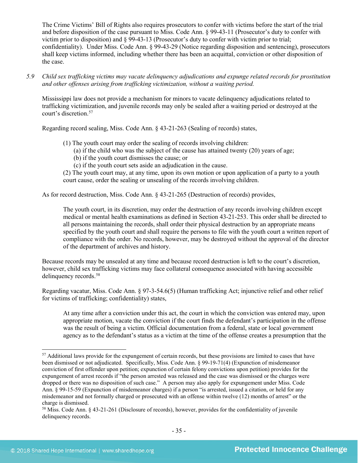The Crime Victims' Bill of Rights also requires prosecutors to confer with victims before the start of the trial and before disposition of the case pursuant to Miss. Code Ann. § 99-43-11 (Prosecutor's duty to confer with victim prior to disposition) and § 99-43-13 (Prosecutor's duty to confer with victim prior to trial; confidentiality). Under Miss. Code Ann. § 99-43-29 (Notice regarding disposition and sentencing), prosecutors shall keep victims informed, including whether there has been an acquittal, conviction or other disposition of the case.

*5.9 Child sex trafficking victims may vacate delinquency adjudications and expunge related records for prostitution and other offenses arising from trafficking victimization, without a waiting period.*

Mississippi law does not provide a mechanism for minors to vacate delinquency adjudications related to trafficking victimization, and juvenile records may only be sealed after a waiting period or destroyed at the court's discretion. [57](#page-34-0) 

Regarding record sealing, Miss. Code Ann. § 43-21-263 (Sealing of records) states,

- (1) The youth court may order the sealing of records involving children:
	- (a) if the child who was the subject of the cause has attained twenty (20) years of age;
	- (b) if the youth court dismisses the cause; or
	- (c) if the youth court sets aside an adjudication in the cause.

(2) The youth court may, at any time, upon its own motion or upon application of a party to a youth court cause, order the sealing or unsealing of the records involving children.

As for record destruction, Miss. Code Ann. § 43-21-265 (Destruction of records) provides,

The youth court, in its discretion, may order the destruction of any records involving children except medical or mental health examinations as defined in Section 43-21-253. This order shall be directed to all persons maintaining the records, shall order their physical destruction by an appropriate means specified by the youth court and shall require the persons to file with the youth court a written report of compliance with the order. No records, however, may be destroyed without the approval of the director of the department of archives and history.

Because records may be unsealed at any time and because record destruction is left to the court's discretion, however, child sex trafficking victims may face collateral consequence associated with having accessible delinquency records. [58](#page-34-1)

Regarding vacatur, Miss. Code Ann. § 97-3-54.6(5) (Human trafficking Act; injunctive relief and other relief for victims of trafficking; confidentiality) states,

At any time after a conviction under this act, the court in which the conviction was entered may, upon appropriate motion, vacate the conviction if the court finds the defendant's participation in the offense was the result of being a victim. Official documentation from a federal, state or local government agency as to the defendant's status as a victim at the time of the offense creates a presumption that the

<span id="page-34-0"></span><sup>&</sup>lt;sup>57</sup> Additional laws provide for the expungement of certain records, but these provisions are limited to cases that have been dismissed or not adjudicated. Specifically, Miss. Code Ann. § 99-19-71(4) (Expunction of misdemeanor conviction of first offender upon petition; expunction of certain felony convictions upon petition) provides for the expungement of arrest records if "the person arrested was released and the case was dismissed or the charges were dropped or there was no disposition of such case." A person may also apply for expungement under Miss. Code Ann. § 99-15-59 (Expunction of misdemeanor charges) if a person "is arrested, issued a citation, or held for any misdemeanor and not formally charged or prosecuted with an offense within twelve (12) months of arrest" or the charge is dismissed.

<span id="page-34-1"></span><sup>58</sup> Miss. Code Ann. § 43-21-261 (Disclosure of records), however, provides for the confidentiality of juvenile delinquency records.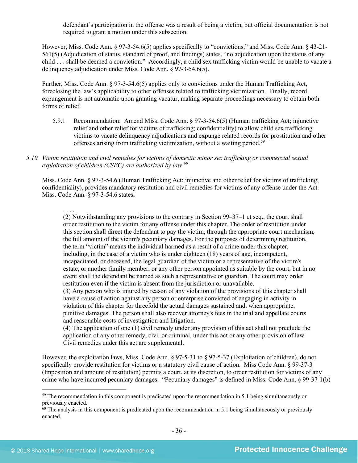defendant's participation in the offense was a result of being a victim, but official documentation is not required to grant a motion under this subsection.

However, Miss. Code Ann. § 97-3-54.6(5) applies specifically to "convictions," and Miss. Code Ann. § 43-21- 561(5) (Adjudication of status, standard of proof, and findings) states, "no adjudication upon the status of any child . . . shall be deemed a conviction." Accordingly, a child sex trafficking victim would be unable to vacate a delinquency adjudication under Miss. Code Ann. § 97-3-54.6(5).

Further, Miss. Code Ann. § 97-3-54.6(5) applies only to convictions under the Human Trafficking Act, foreclosing the law's applicability to other offenses related to trafficking victimization. Finally, record expungement is not automatic upon granting vacatur, making separate proceedings necessary to obtain both forms of relief.

- 5.9.1 Recommendation: Amend Miss. Code Ann. § 97-3-54.6(5) (Human trafficking Act; injunctive relief and other relief for victims of trafficking; confidentiality) to allow child sex trafficking victims to vacate delinquency adjudications and expunge related records for prostitution and other offenses arising from trafficking victimization, without a waiting period. [59](#page-35-0)
- *5.10 Victim restitution and civil remedies for victims of domestic minor sex trafficking or commercial sexual exploitation of children (CSEC) are authorized by law.[60](#page-35-1)*

Miss. Code Ann. § 97-3-54.6 (Human Trafficking Act; injunctive and other relief for victims of trafficking; confidentiality), provides mandatory restitution and civil remedies for victims of any offense under the Act. Miss. Code Ann. § 97-3-54.6 states,

. . . .

(2) Notwithstanding any provisions to the contrary in Section 99–37–1 et seq., the court shall order restitution to the victim for any offense under this chapter. The order of restitution under this section shall direct the defendant to pay the victim, through the appropriate court mechanism, the full amount of the victim's pecuniary damages. For the purposes of determining restitution, the term "victim" means the individual harmed as a result of a crime under this chapter, including, in the case of a victim who is under eighteen (18) years of age, incompetent, incapacitated, or deceased, the legal guardian of the victim or a representative of the victim's estate, or another family member, or any other person appointed as suitable by the court, but in no event shall the defendant be named as such a representative or guardian. The court may order restitution even if the victim is absent from the jurisdiction or unavailable.

(3) Any person who is injured by reason of any violation of the provisions of this chapter shall have a cause of action against any person or enterprise convicted of engaging in activity in violation of this chapter for threefold the actual damages sustained and, when appropriate, punitive damages. The person shall also recover attorney's fees in the trial and appellate courts and reasonable costs of investigation and litigation.

(4) The application of one (1) civil remedy under any provision of this act shall not preclude the application of any other remedy, civil or criminal, under this act or any other provision of law. Civil remedies under this act are supplemental.

However, the exploitation laws, Miss. Code Ann. § 97-5-31 to § 97-5-37 (Exploitation of children), do not specifically provide restitution for victims or a statutory civil cause of action. Miss Code Ann. § 99-37-3 (Imposition and amount of restitution) permits a court, at its discretion, to order restitution for victims of any crime who have incurred pecuniary damages. "Pecuniary damages" is defined in Miss. Code Ann. § 99-37-1(b)

<span id="page-35-0"></span><sup>&</sup>lt;sup>59</sup> The recommendation in this component is predicated upon the recommendation in 5.1 being simultaneously or previously enacted.

<span id="page-35-1"></span> $60$  The analysis in this component is predicated upon the recommendation in 5.1 being simultaneously or previously enacted.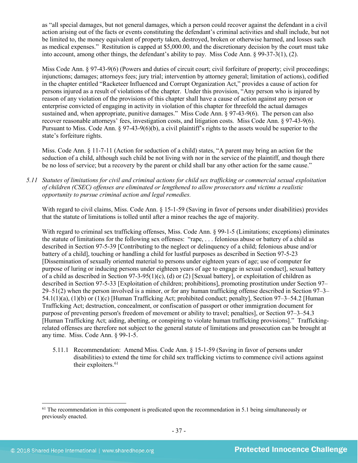as "all special damages, but not general damages, which a person could recover against the defendant in a civil action arising out of the facts or events constituting the defendant's criminal activities and shall include, but not be limited to, the money equivalent of property taken, destroyed, broken or otherwise harmed, and losses such as medical expenses." Restitution is capped at \$5,000.00, and the discretionary decision by the court must take into account, among other things, the defendant's ability to pay. Miss Code Ann. § 99-37-3(1), (2).

Miss Code Ann. § 97-43-9(6) (Powers and duties of circuit court; civil forfeiture of property; civil proceedings; injunctions; damages; attorneys fees; jury trial; intervention by attorney general; limitation of actions), codified in the chapter entitled "Racketeer Influenced and Corrupt Organization Act," provides a cause of action for persons injured as a result of violations of the chapter. Under this provision, "Any person who is injured by reason of any violation of the provisions of this chapter shall have a cause of action against any person or enterprise convicted of engaging in activity in violation of this chapter for threefold the actual damages sustained and, when appropriate, punitive damages." Miss Code Ann. § 97-43-9(6). The person can also recover reasonable attorneys' fees, investigation costs, and litigation costs. Miss Code Ann. § 97-43-9(6). Pursuant to Miss. Code Ann. § 97-43-9(6)(b), a civil plaintiff's rights to the assets would be superior to the state's forfeiture rights.

Miss. Code Ann. § 11-7-11 (Action for seduction of a child) states, "A parent may bring an action for the seduction of a child, although such child be not living with nor in the service of the plaintiff, and though there be no loss of service; but a recovery by the parent or child shall bar any other action for the same cause."

*5.11 Statutes of limitations for civil and criminal actions for child sex trafficking or commercial sexual exploitation of children (CSEC) offenses are eliminated or lengthened to allow prosecutors and victims a realistic opportunity to pursue criminal action and legal remedies.*

With regard to civil claims, Miss. Code Ann. § 15-1-59 (Saving in favor of persons under disabilities) provides that the statute of limitations is tolled until after a minor reaches the age of majority.

With regard to criminal sex trafficking offenses, Miss. Code Ann. § 99-1-5 (Limitations; exceptions) eliminates the statute of limitations for the following sex offenses: "rape, . . . felonious abuse or battery of a child as described in Section 97-5-39 [Contributing to the neglect or delinquency of a child; felonious abuse and/or battery of a child], touching or handling a child for lustful purposes as described in Section 97-5-23 [Dissemination of sexually oriented material to persons under eighteen years of age; use of computer for purpose of luring or inducing persons under eighteen years of age to engage in sexual conduct], sexual battery of a child as described in Section 97-3-95(1)(c), (d) or (2) [Sexual battery], or exploitation of children as described in Section 97-5-33 [Exploitation of children; prohibitions], promoting prostitution under Section 97– 29–51(2) when the person involved is a minor, or for any human trafficking offense described in Section 97–3– 54.1(1)(a), (1)(b) or (1)(c) [Human Trafficking Act; prohibited conduct; penalty], Section 97–3–54.2 [Human Trafficking Act; destruction, concealment, or confiscation of passport or other immigration document for purpose of preventing person's freedom of movement or ability to travel; penalties], or Section 97–3–54.3 [Human Trafficking Act; aiding, abetting, or conspiring to violate human trafficking provisions]." Traffickingrelated offenses are therefore not subject to the general statute of limitations and prosecution can be brought at any time. Miss. Code Ann. § 99-1-5.

5.11.1 Recommendation: Amend Miss. Code Ann. § 15-1-59 (Saving in favor of persons under disabilities) to extend the time for child sex trafficking victims to commence civil actions against their exploiters.<sup>[61](#page-36-0)</sup>

<span id="page-36-0"></span><sup>&</sup>lt;sup>61</sup> The recommendation in this component is predicated upon the recommendation in 5.1 being simultaneously or previously enacted.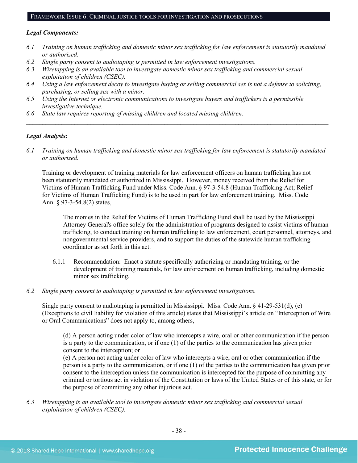#### FRAMEWORK ISSUE 6: CRIMINAL JUSTICE TOOLS FOR INVESTIGATION AND PROSECUTIONS

#### *Legal Components:*

- *6.1 Training on human trafficking and domestic minor sex trafficking for law enforcement is statutorily mandated or authorized.*
- *6.2 Single party consent to audiotaping is permitted in law enforcement investigations.*
- *6.3 Wiretapping is an available tool to investigate domestic minor sex trafficking and commercial sexual exploitation of children (CSEC).*
- *6.4 Using a law enforcement decoy to investigate buying or selling commercial sex is not a defense to soliciting, purchasing, or selling sex with a minor.*
- *6.5 Using the Internet or electronic communications to investigate buyers and traffickers is a permissible investigative technique.*
- *6.6 State law requires reporting of missing children and located missing children.*

#### *Legal Analysis:*

*6.1 Training on human trafficking and domestic minor sex trafficking for law enforcement is statutorily mandated or authorized.*

*\_\_\_\_\_\_\_\_\_\_\_\_\_\_\_\_\_\_\_\_\_\_\_\_\_\_\_\_\_\_\_\_\_\_\_\_\_\_\_\_\_\_\_\_\_\_\_\_\_\_\_\_\_\_\_\_\_\_\_\_\_\_\_\_\_\_\_\_\_\_\_\_\_\_\_\_\_\_\_\_\_\_\_\_\_\_\_\_\_\_\_\_\_\_*

Training or development of training materials for law enforcement officers on human trafficking has not been statutorily mandated or authorized in Mississippi. However, money received from the Relief for Victims of Human Trafficking Fund under Miss. Code Ann. § 97-3-54.8 (Human Trafficking Act; Relief for Victims of Human Trafficking Fund) is to be used in part for law enforcement training. Miss. Code Ann. § 97-3-54.8(2) states,

The monies in the Relief for Victims of Human Trafficking Fund shall be used by the Mississippi Attorney General's office solely for the administration of programs designed to assist victims of human trafficking, to conduct training on human trafficking to law enforcement, court personnel, attorneys, and nongovernmental service providers, and to support the duties of the statewide human trafficking coordinator as set forth in this act.

- 6.1.1 Recommendation: Enact a statute specifically authorizing or mandating training, or the development of training materials, for law enforcement on human trafficking, including domestic minor sex trafficking.
- *6.2 Single party consent to audiotaping is permitted in law enforcement investigations.*

Single party consent to audiotaping is permitted in Mississippi. Miss. Code Ann. § 41-29-531(d), (e) (Exceptions to civil liability for violation of this article) states that Mississippi's article on "Interception of Wire or Oral Communications" does not apply to, among others,

(d) A person acting under color of law who intercepts a wire, oral or other communication if the person is a party to the communication, or if one (1) of the parties to the communication has given prior consent to the interception; or

(e) A person not acting under color of law who intercepts a wire, oral or other communication if the person is a party to the communication, or if one (1) of the parties to the communication has given prior consent to the interception unless the communication is intercepted for the purpose of committing any criminal or tortious act in violation of the Constitution or laws of the United States or of this state, or for the purpose of committing any other injurious act.

*6.3 Wiretapping is an available tool to investigate domestic minor sex trafficking and commercial sexual exploitation of children (CSEC).*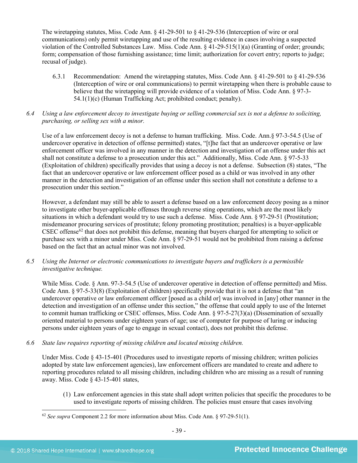The wiretapping statutes, Miss. Code Ann. § 41-29-501 to § 41-29-536 (Interception of wire or oral communications) only permit wiretapping and use of the resulting evidence in cases involving a suspected violation of the Controlled Substances Law. Miss. Code Ann. § 41-29-515(1)(a) (Granting of order; grounds; form; compensation of those furnishing assistance; time limit; authorization for covert entry; reports to judge; recusal of judge).

- 6.3.1 Recommendation: Amend the wiretapping statutes, Miss. Code Ann. § 41-29-501 to § 41-29-536 (Interception of wire or oral communications) to permit wiretapping when there is probable cause to believe that the wiretapping will provide evidence of a violation of Miss. Code Ann. § 97-3- 54.1(1)(c) (Human Trafficking Act; prohibited conduct; penalty).
- *6.4 Using a law enforcement decoy to investigate buying or selling commercial sex is not a defense to soliciting, purchasing, or selling sex with a minor.*

Use of a law enforcement decoy is not a defense to human trafficking. Miss. Code. Ann.§ 97-3-54.5 (Use of undercover operative in detection of offense permitted) states, "[t]he fact that an undercover operative or law enforcement officer was involved in any manner in the detection and investigation of an offense under this act shall not constitute a defense to a prosecution under this act." Additionally, Miss. Code Ann. § 97-5-33 (Exploitation of children) specifically provides that using a decoy is not a defense. Subsection (8) states, "The fact that an undercover operative or law enforcement officer posed as a child or was involved in any other manner in the detection and investigation of an offense under this section shall not constitute a defense to a prosecution under this section."

However, a defendant may still be able to assert a defense based on a law enforcement decoy posing as a minor to investigate other buyer-applicable offenses through reverse sting operations, which are the most likely situations in which a defendant would try to use such a defense. Miss. Code Ann. § 97-29-51 (Prostitution; misdemeanor procuring services of prostitute; felony promoting prostitution; penalties) is a buyer-applicable  $CSEC$  offense $62$  that does not prohibit this defense, meaning that buyers charged for attempting to solicit or purchase sex with a minor under Miss. Code Ann. § 97-29-51 would not be prohibited from raising a defense based on the fact that an actual minor was not involved.

*6.5 Using the Internet or electronic communications to investigate buyers and traffickers is a permissible investigative technique.*

While Miss. Code. § Ann. 97-3-54.5 (Use of undercover operative in detection of offense permitted) and Miss. Code Ann. § 97-5-33(8) (Exploitation of children) specifically provide that it is not a defense that "an undercover operative or law enforcement officer [posed as a child or] was involved in [any] other manner in the detection and investigation of an offense under this section," the offense that could apply to use of the Internet to commit human trafficking or CSEC offenses, Miss. Code Ann. § 97-5-27(3)(a) (Dissemination of sexually oriented material to persons under eighteen years of age; use of computer for purpose of luring or inducing persons under eighteen years of age to engage in sexual contact), does not prohibit this defense.

*6.6 State law requires reporting of missing children and located missing children.*

Under Miss. Code § 43-15-401 (Procedures used to investigate reports of missing children; written policies adopted by state law enforcement agencies), law enforcement officers are mandated to create and adhere to reporting procedures related to all missing children, including children who are missing as a result of running away. Miss. Code § 43-15-401 states,

(1) Law enforcement agencies in this state shall adopt written policies that specific the procedures to be used to investigate reports of missing children. The policies must ensure that cases involving

<span id="page-38-0"></span> <sup>62</sup> *See supra* Component 2.2 for more information about Miss. Code Ann. § 97-29-51(1).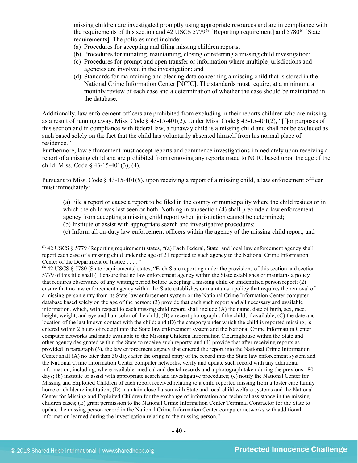missing children are investigated promptly using appropriate resources and are in compliance with the requirements of this section and  $42 \overline{\rm USCS} 5779^{63}$  $42 \overline{\rm USCS} 5779^{63}$  $42 \overline{\rm USCS} 5779^{63}$  [Reporting requirement] and  $5780^{64}$  $5780^{64}$  $5780^{64}$  [State requirements]. The policies must include:

- (a) Procedures for accepting and filing missing children reports;
- (b) Procedures for initiating, maintaining, closing or referring a missing child investigation;
- (c) Procedures for prompt and open transfer or information where multiple jurisdictions and agencies are involved in the investigation; and
- (d) Standards for maintaining and clearing data concerning a missing child that is stored in the National Crime Information Center [NCIC]. The standards must require, at a minimum, a monthly review of each case and a determination of whether the case should be maintained in the database.

Additionally, law enforcement officers are prohibited from excluding in their reports children who are missing as a result of running away. Miss. Code § 43-15-401(2). Under Miss. Code § 43-15-401(2), "[f]or purposes of this section and in compliance with federal law, a runaway child is a missing child and shall not be excluded as such based solely on the fact that the child has voluntarily absented himself from his normal place of residence."

Furthermore, law enforcement must accept reports and commence investigations immediately upon receiving a report of a missing child and are prohibited from removing any reports made to NCIC based upon the age of the child. Miss. Code § 43-15-401(3), (4).

Pursuant to Miss. Code § 43-15-401(5), upon receiving a report of a missing child, a law enforcement officer must immediately:

(a) File a report or cause a report to be filed in the county or municipality where the child resides or in which the child was last seen or both. Nothing in subsection (4) shall preclude a law enforcement agency from accepting a missing child report when jurisdiction cannot be determined;

(b) Institute or assist with appropriate search and investigative procedures;

(c) Inform all on-duty law enforcement officers within the agency of the missing child report; and

<span id="page-39-0"></span> $63$  42 USCS  $\S$  5779 (Reporting requirement) states, "(a) Each Federal, State, and local law enforcement agency shall report each case of a missing child under the age of 21 reported to such agency to the National Crime Information Center of the Department of Justice . . . . "

<span id="page-39-1"></span><sup>64</sup> 42 USCS § 5780 (State requirements) states, "Each State reporting under the provisions of this section and section 5779 of this title shall (1) ensure that no law enforcement agency within the State establishes or maintains a policy that requires observance of any waiting period before accepting a missing child or unidentified person report; (2) ensure that no law enforcement agency within the State establishes or maintains a policy that requires the removal of a missing person entry from its State law enforcement system or the National Crime Information Center computer database based solely on the age of the person; (3) provide that each such report and all necessary and available information, which, with respect to each missing child report, shall include (A) the name, date of birth, sex, race, height, weight, and eye and hair color of the child; (B) a recent photograph of the child, if available; (C) the date and location of the last known contact with the child; and (D) the category under which the child is reported missing; is entered within 2 hours of receipt into the State law enforcement system and the National Crime Information Center computer networks and made available to the Missing Children Information Clearinghouse within the State and other agency designated within the State to receive such reports; and (4) provide that after receiving reports as provided in paragraph (3), the law enforcement agency that entered the report into the National Crime Information Center shall (A) no later than 30 days after the original entry of the record into the State law enforcement system and the National Crime Information Center computer networks, verify and update such record with any additional information, including, where available, medical and dental records and a photograph taken during the previous 180 days; (b) institute or assist with appropriate search and investigative procedures; (c) notify the National Center for Missing and Exploited Children of each report received relating to a child reported missing from a foster care family home or childcare institution; (D) maintain close liaison with State and local child welfare systems and the National Center for Missing and Exploited Children for the exchange of information and technical assistance in the missing children cases; (E) grant permission to the National Crime Information Center Terminal Contractor for the State to update the missing person record in the National Crime Information Center computer networks with additional information learned during the investigation relating to the missing person."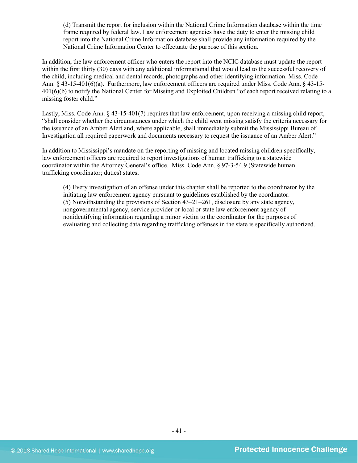(d) Transmit the report for inclusion within the National Crime Information database within the time frame required by federal law. Law enforcement agencies have the duty to enter the missing child report into the National Crime Information database shall provide any information required by the National Crime Information Center to effectuate the purpose of this section.

In addition, the law enforcement officer who enters the report into the NCIC database must update the report within the first thirty (30) days with any additional informational that would lead to the successful recovery of the child, including medical and dental records, photographs and other identifying information. Miss. Code Ann. § 43-15-401(6)(a). Furthermore, law enforcement officers are required under Miss. Code Ann. § 43-15- 401(6)(b) to notify the National Center for Missing and Exploited Children "of each report received relating to a missing foster child."

Lastly, Miss. Code Ann. § 43-15-401(7) requires that law enforcement, upon receiving a missing child report, "shall consider whether the circumstances under which the child went missing satisfy the criteria necessary for the issuance of an Amber Alert and, where applicable, shall immediately submit the Mississippi Bureau of Investigation all required paperwork and documents necessary to request the issuance of an Amber Alert."

In addition to Mississippi's mandate on the reporting of missing and located missing children specifically, law enforcement officers are required to report investigations of human trafficking to a statewide coordinator within the Attorney General's office. Miss. Code Ann. § 97-3-54.9 (Statewide human trafficking coordinator; duties) states,

(4) Every investigation of an offense under this chapter shall be reported to the coordinator by the initiating law enforcement agency pursuant to guidelines established by the coordinator. (5) Notwithstanding the provisions of Section 43–21–261, disclosure by any state agency, nongovernmental agency, service provider or local or state law enforcement agency of nonidentifying information regarding a minor victim to the coordinator for the purposes of evaluating and collecting data regarding trafficking offenses in the state is specifically authorized.